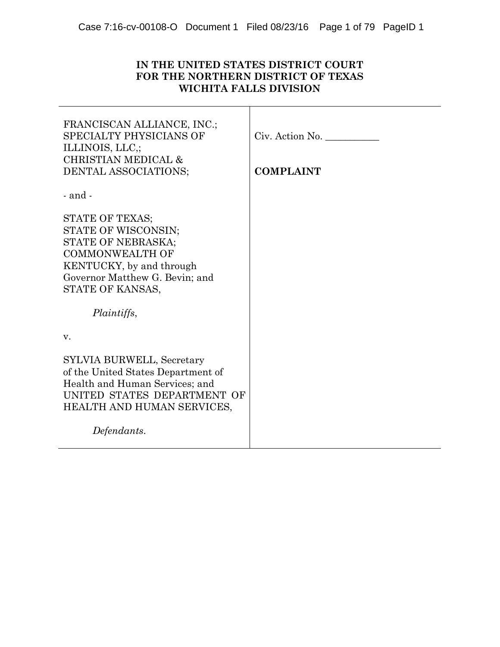# **IN THE UNITED STATES DISTRICT COURT FOR THE NORTHERN DISTRICT OF TEXAS WICHITA FALLS DIVISION**

| FRANCISCAN ALLIANCE, INC.;<br>SPECIALTY PHYSICIANS OF<br>ILLINOIS, LLC.;<br><b>CHRISTIAN MEDICAL &amp;</b><br>DENTAL ASSOCIATIONS;                                                      | Civ. Action No.<br><b>COMPLAINT</b> |
|-----------------------------------------------------------------------------------------------------------------------------------------------------------------------------------------|-------------------------------------|
| $-$ and $-$                                                                                                                                                                             |                                     |
| STATE OF TEXAS;<br>STATE OF WISCONSIN;<br>STATE OF NEBRASKA;<br><b>COMMONWEALTH OF</b><br>KENTUCKY, by and through<br>Governor Matthew G. Bevin; and<br>STATE OF KANSAS,<br>Plaintiffs, |                                     |
| V.                                                                                                                                                                                      |                                     |
| SYLVIA BURWELL, Secretary<br>of the United States Department of<br>Health and Human Services; and<br>UNITED STATES DEPARTMENT OF<br>HEALTH AND HUMAN SERVICES,                          |                                     |
| Defendants.                                                                                                                                                                             |                                     |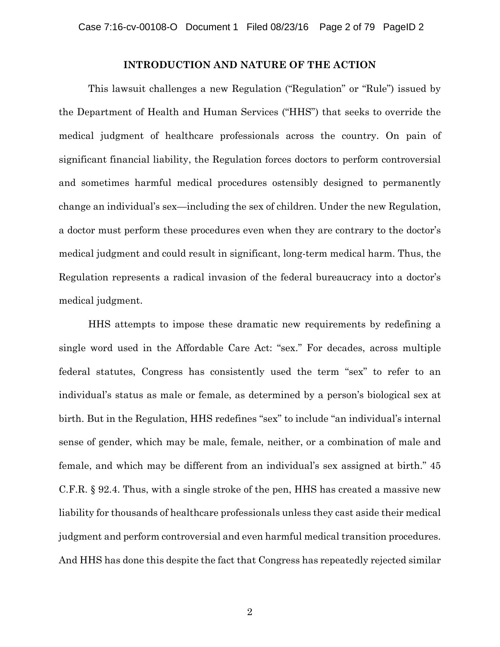## **INTRODUCTION AND NATURE OF THE ACTION**

This lawsuit challenges a new Regulation ("Regulation" or "Rule") issued by the Department of Health and Human Services ("HHS") that seeks to override the medical judgment of healthcare professionals across the country. On pain of significant financial liability, the Regulation forces doctors to perform controversial and sometimes harmful medical procedures ostensibly designed to permanently change an individual's sex—including the sex of children. Under the new Regulation, a doctor must perform these procedures even when they are contrary to the doctor's medical judgment and could result in significant, long-term medical harm. Thus, the Regulation represents a radical invasion of the federal bureaucracy into a doctor's medical judgment.

HHS attempts to impose these dramatic new requirements by redefining a single word used in the Affordable Care Act: "sex." For decades, across multiple federal statutes, Congress has consistently used the term "sex" to refer to an individual's status as male or female, as determined by a person's biological sex at birth. But in the Regulation, HHS redefines "sex" to include "an individual's internal sense of gender, which may be male, female, neither, or a combination of male and female, and which may be different from an individual's sex assigned at birth." 45 C.F.R. § 92.4. Thus, with a single stroke of the pen, HHS has created a massive new liability for thousands of healthcare professionals unless they cast aside their medical judgment and perform controversial and even harmful medical transition procedures. And HHS has done this despite the fact that Congress has repeatedly rejected similar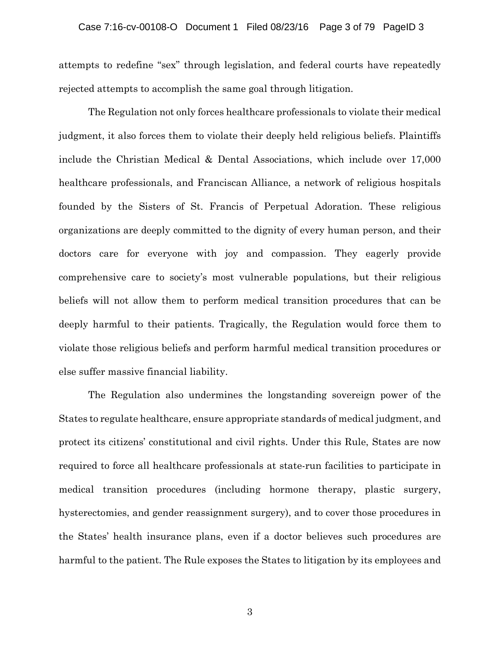attempts to redefine "sex" through legislation, and federal courts have repeatedly rejected attempts to accomplish the same goal through litigation.

The Regulation not only forces healthcare professionals to violate their medical judgment, it also forces them to violate their deeply held religious beliefs. Plaintiffs include the Christian Medical & Dental Associations, which include over 17,000 healthcare professionals, and Franciscan Alliance, a network of religious hospitals founded by the Sisters of St. Francis of Perpetual Adoration. These religious organizations are deeply committed to the dignity of every human person, and their doctors care for everyone with joy and compassion. They eagerly provide comprehensive care to society's most vulnerable populations, but their religious beliefs will not allow them to perform medical transition procedures that can be deeply harmful to their patients. Tragically, the Regulation would force them to violate those religious beliefs and perform harmful medical transition procedures or else suffer massive financial liability.

The Regulation also undermines the longstanding sovereign power of the States to regulate healthcare, ensure appropriate standards of medical judgment, and protect its citizens' constitutional and civil rights. Under this Rule, States are now required to force all healthcare professionals at state-run facilities to participate in medical transition procedures (including hormone therapy, plastic surgery, hysterectomies, and gender reassignment surgery), and to cover those procedures in the States' health insurance plans, even if a doctor believes such procedures are harmful to the patient. The Rule exposes the States to litigation by its employees and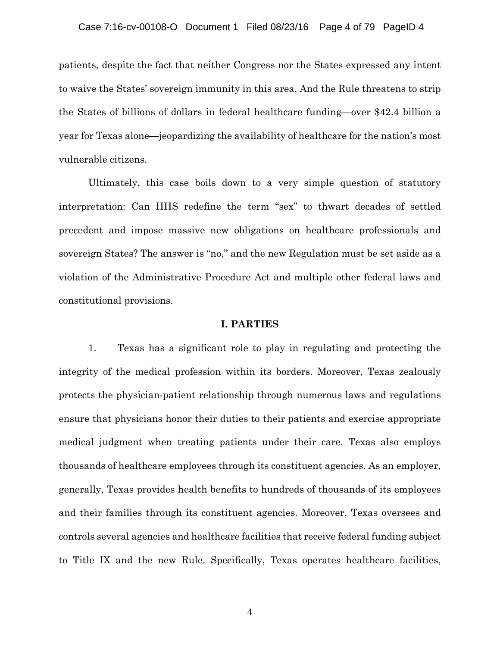### Case 7:16-cv-00108-O Document 1 Filed 08/23/16 Page 4 of 79 PageID 4

patients, despite the fact that neither Congress nor the States expressed any intent to waive the States' sovereign immunity in this area. And the Rule threatens to strip the States of billions of dollars in federal healthcare funding—over \$42.4 billion a year for Texas alone—jeopardizing the availability of healthcare for the nation's most vulnerable citizens.

Ultimately, this case boils down to a very simple question of statutory interpretation: Can HHS redefine the term "sex" to thwart decades of settled precedent and impose massive new obligations on healthcare professionals and sovereign States? The answer is "no," and the new Regulation must be set aside as a violation of the Administrative Procedure Act and multiple other federal laws and constitutional provisions.

#### **I. PARTIES**

1. Texas has a significant role to play in regulating and protecting the integrity of the medical profession within its borders. Moreover, Texas zealously protects the physician-patient relationship through numerous laws and regulations ensure that physicians honor their duties to their patients and exercise appropriate medical judgment when treating patients under their care. Texas also employs thousands of healthcare employees through its constituent agencies. As an employer, generally, Texas provides health benefits to hundreds of thousands of its employees and their families through its constituent agencies. Moreover, Texas oversees and controls several agencies and healthcare facilities that receive federal funding subject to Title IX and the new Rule. Specifically, Texas operates healthcare facilities,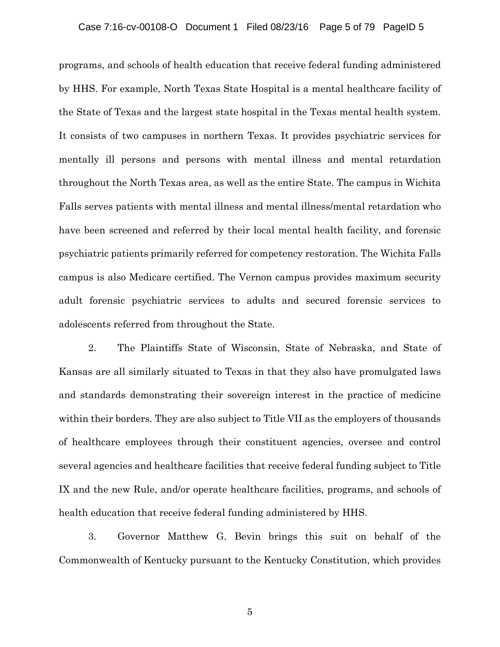programs, and schools of health education that receive federal funding administered by HHS. For example, North Texas State Hospital is a mental healthcare facility of the State of Texas and the largest state hospital in the Texas mental health system. It consists of two campuses in northern Texas. It provides psychiatric services for mentally ill persons and persons with mental illness and mental retardation throughout the North Texas area, as well as the entire State. The campus in Wichita Falls serves patients with mental illness and mental illness/mental retardation who have been screened and referred by their local mental health facility, and forensic psychiatric patients primarily referred for competency restoration. The Wichita Falls campus is also Medicare certified. The Vernon campus provides maximum security adult forensic psychiatric services to adults and secured forensic services to adolescents referred from throughout the State.

2. The Plaintiffs State of Wisconsin, State of Nebraska, and State of Kansas are all similarly situated to Texas in that they also have promulgated laws and standards demonstrating their sovereign interest in the practice of medicine within their borders. They are also subject to Title VII as the employers of thousands of healthcare employees through their constituent agencies, oversee and control several agencies and healthcare facilities that receive federal funding subject to Title IX and the new Rule, and/or operate healthcare facilities, programs, and schools of health education that receive federal funding administered by HHS.

3. Governor Matthew G. Bevin brings this suit on behalf of the Commonwealth of Kentucky pursuant to the Kentucky Constitution, which provides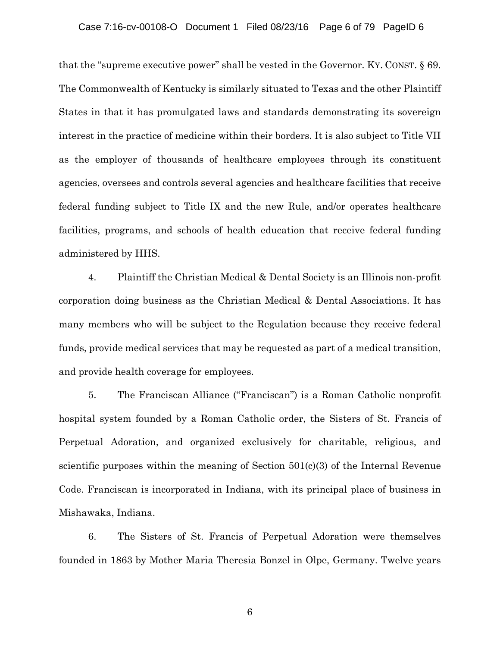### Case 7:16-cv-00108-O Document 1 Filed 08/23/16 Page 6 of 79 PageID 6

that the "supreme executive power" shall be vested in the Governor. KY. CONST. § 69. The Commonwealth of Kentucky is similarly situated to Texas and the other Plaintiff States in that it has promulgated laws and standards demonstrating its sovereign interest in the practice of medicine within their borders. It is also subject to Title VII as the employer of thousands of healthcare employees through its constituent agencies, oversees and controls several agencies and healthcare facilities that receive federal funding subject to Title IX and the new Rule, and/or operates healthcare facilities, programs, and schools of health education that receive federal funding administered by HHS.

4. Plaintiff the Christian Medical & Dental Society is an Illinois non-profit corporation doing business as the Christian Medical & Dental Associations. It has many members who will be subject to the Regulation because they receive federal funds, provide medical services that may be requested as part of a medical transition, and provide health coverage for employees.

5. The Franciscan Alliance ("Franciscan") is a Roman Catholic nonprofit hospital system founded by a Roman Catholic order, the Sisters of St. Francis of Perpetual Adoration, and organized exclusively for charitable, religious, and scientific purposes within the meaning of Section  $501(c)(3)$  of the Internal Revenue Code. Franciscan is incorporated in Indiana, with its principal place of business in Mishawaka, Indiana.

6. The Sisters of St. Francis of Perpetual Adoration were themselves founded in 1863 by Mother Maria Theresia Bonzel in Olpe, Germany. Twelve years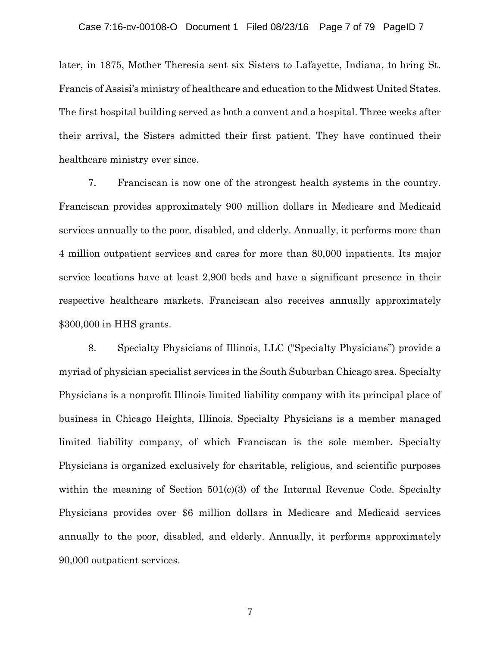later, in 1875, Mother Theresia sent six Sisters to Lafayette, Indiana, to bring St. Francis of Assisi's ministry of healthcare and education to the Midwest United States. The first hospital building served as both a convent and a hospital. Three weeks after their arrival, the Sisters admitted their first patient. They have continued their healthcare ministry ever since.

7. Franciscan is now one of the strongest health systems in the country. Franciscan provides approximately 900 million dollars in Medicare and Medicaid services annually to the poor, disabled, and elderly. Annually, it performs more than 4 million outpatient services and cares for more than 80,000 inpatients. Its major service locations have at least 2,900 beds and have a significant presence in their respective healthcare markets. Franciscan also receives annually approximately \$300,000 in HHS grants.

8. Specialty Physicians of Illinois, LLC ("Specialty Physicians") provide a myriad of physician specialist services in the South Suburban Chicago area. Specialty Physicians is a nonprofit Illinois limited liability company with its principal place of business in Chicago Heights, Illinois. Specialty Physicians is a member managed limited liability company, of which Franciscan is the sole member. Specialty Physicians is organized exclusively for charitable, religious, and scientific purposes within the meaning of Section 501(c)(3) of the Internal Revenue Code. Specialty Physicians provides over \$6 million dollars in Medicare and Medicaid services annually to the poor, disabled, and elderly. Annually, it performs approximately 90,000 outpatient services.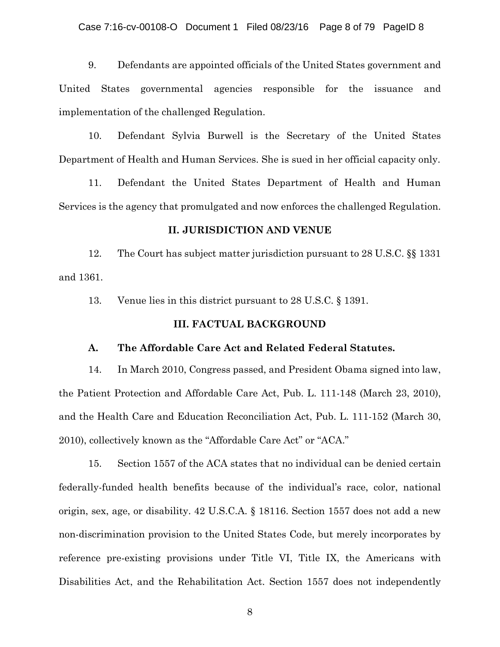9. Defendants are appointed officials of the United States government and United States governmental agencies responsible for the issuance and implementation of the challenged Regulation.

10. Defendant Sylvia Burwell is the Secretary of the United States Department of Health and Human Services. She is sued in her official capacity only.

11. Defendant the United States Department of Health and Human Services is the agency that promulgated and now enforces the challenged Regulation.

# **II. JURISDICTION AND VENUE**

12. The Court has subject matter jurisdiction pursuant to 28 U.S.C. §§ 1331 and 1361.

13. Venue lies in this district pursuant to 28 U.S.C. § 1391.

### **III. FACTUAL BACKGROUND**

# **A. The Affordable Care Act and Related Federal Statutes.**

14. In March 2010, Congress passed, and President Obama signed into law, the Patient Protection and Affordable Care Act, Pub. L. 111-148 (March 23, 2010), and the Health Care and Education Reconciliation Act, Pub. L. 111-152 (March 30, 2010), collectively known as the "Affordable Care Act" or "ACA."

15. Section 1557 of the ACA states that no individual can be denied certain federally-funded health benefits because of the individual's race, color, national origin, sex, age, or disability. 42 U.S.C.A. § 18116. Section 1557 does not add a new non-discrimination provision to the United States Code, but merely incorporates by reference pre-existing provisions under Title VI, Title IX, the Americans with Disabilities Act, and the Rehabilitation Act. Section 1557 does not independently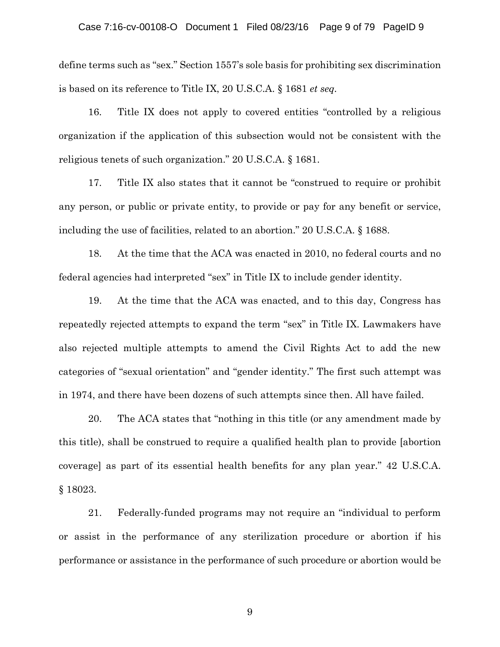## Case 7:16-cv-00108-O Document 1 Filed 08/23/16 Page 9 of 79 PageID 9

define terms such as "sex." Section 1557's sole basis for prohibiting sex discrimination is based on its reference to Title IX, 20 U.S.C.A. § 1681 *et seq.*

16. Title IX does not apply to covered entities "controlled by a religious organization if the application of this subsection would not be consistent with the religious tenets of such organization." 20 U.S.C.A. § 1681.

17. Title IX also states that it cannot be "construed to require or prohibit any person, or public or private entity, to provide or pay for any benefit or service, including the use of facilities, related to an abortion." 20 U.S.C.A. § 1688.

18. At the time that the ACA was enacted in 2010, no federal courts and no federal agencies had interpreted "sex" in Title IX to include gender identity.

19. At the time that the ACA was enacted, and to this day, Congress has repeatedly rejected attempts to expand the term "sex" in Title IX. Lawmakers have also rejected multiple attempts to amend the Civil Rights Act to add the new categories of "sexual orientation" and "gender identity." The first such attempt was in 1974, and there have been dozens of such attempts since then. All have failed.

20. The ACA states that "nothing in this title (or any amendment made by this title), shall be construed to require a qualified health plan to provide [abortion coverage] as part of its essential health benefits for any plan year." 42 U.S.C.A. § 18023.

21. Federally-funded programs may not require an "individual to perform or assist in the performance of any sterilization procedure or abortion if his performance or assistance in the performance of such procedure or abortion would be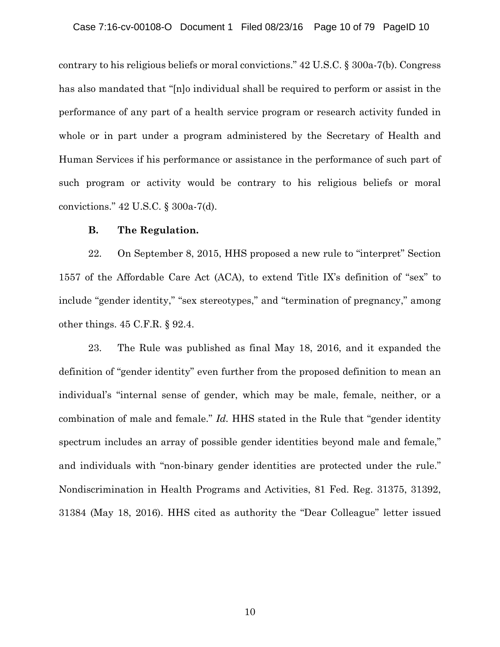contrary to his religious beliefs or moral convictions." 42 U.S.C. § 300a-7(b). Congress has also mandated that "[n]o individual shall be required to perform or assist in the performance of any part of a health service program or research activity funded in whole or in part under a program administered by the Secretary of Health and Human Services if his performance or assistance in the performance of such part of such program or activity would be contrary to his religious beliefs or moral convictions." 42 U.S.C. § 300a-7(d).

# **B. The Regulation.**

22. On September 8, 2015, HHS proposed a new rule to "interpret" Section 1557 of the Affordable Care Act (ACA), to extend Title IX's definition of "sex" to include "gender identity," "sex stereotypes," and "termination of pregnancy," among other things. 45 C.F.R. § 92.4.

23. The Rule was published as final May 18, 2016, and it expanded the definition of "gender identity" even further from the proposed definition to mean an individual's "internal sense of gender, which may be male, female, neither, or a combination of male and female." *Id.* HHS stated in the Rule that "gender identity spectrum includes an array of possible gender identities beyond male and female," and individuals with "non-binary gender identities are protected under the rule." Nondiscrimination in Health Programs and Activities, 81 Fed. Reg. 31375, 31392, 31384 (May 18, 2016). HHS cited as authority the "Dear Colleague" letter issued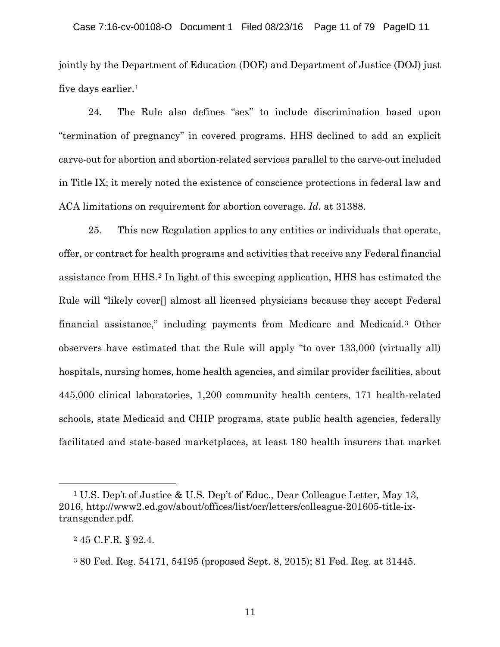jointly by the Department of Education (DOE) and Department of Justice (DOJ) just five days earlier.[1](#page-10-0)

24. The Rule also defines "sex" to include discrimination based upon "termination of pregnancy" in covered programs. HHS declined to add an explicit carve-out for abortion and abortion-related services parallel to the carve-out included in Title IX; it merely noted the existence of conscience protections in federal law and ACA limitations on requirement for abortion coverage. *Id.* at 31388.

25. This new Regulation applies to any entities or individuals that operate, offer, or contract for health programs and activities that receive any Federal financial assistance from HHS.[2](#page-10-1) In light of this sweeping application, HHS has estimated the Rule will "likely cover<sup>[]</sup> almost all licensed physicians because they accept Federal financial assistance," including payments from Medicare and Medicaid.[3](#page-10-2) Other observers have estimated that the Rule will apply "to over 133,000 (virtually all) hospitals, nursing homes, home health agencies, and similar provider facilities, about 445,000 clinical laboratories, 1,200 community health centers, 171 health-related schools, state Medicaid and CHIP programs, state public health agencies, federally facilitated and state-based marketplaces, at least 180 health insurers that market

<span id="page-10-0"></span><sup>1</sup> U.S. Dep't of Justice & U.S. Dep't of Educ., Dear Colleague Letter, May 13, 2016, http://www2.ed.gov/about/offices/list/ocr/letters/colleague-201605-title-ixtransgender.pdf.

<span id="page-10-1"></span><sup>2</sup> 45 C.F.R. § 92.4.

<span id="page-10-2"></span><sup>3</sup> 80 Fed. Reg. 54171, 54195 (proposed Sept. 8, 2015); 81 Fed. Reg. at 31445.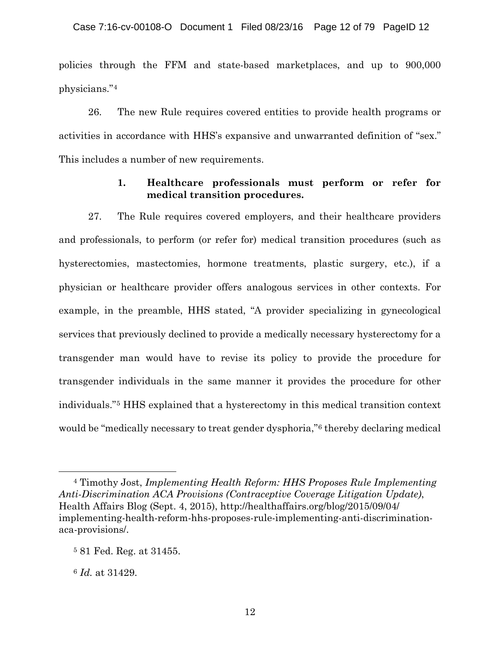policies through the FFM and state-based marketplaces, and up to 900,000 physicians."[4](#page-11-0)

26. The new Rule requires covered entities to provide health programs or activities in accordance with HHS's expansive and unwarranted definition of "sex." This includes a number of new requirements.

# **1. Healthcare professionals must perform or refer for medical transition procedures.**

27. The Rule requires covered employers, and their healthcare providers and professionals, to perform (or refer for) medical transition procedures (such as hysterectomies, mastectomies, hormone treatments, plastic surgery, etc.), if a physician or healthcare provider offers analogous services in other contexts. For example, in the preamble, HHS stated, "A provider specializing in gynecological services that previously declined to provide a medically necessary hysterectomy for a transgender man would have to revise its policy to provide the procedure for transgender individuals in the same manner it provides the procedure for other individuals."[5](#page-11-1) HHS explained that a hysterectomy in this medical transition context would be "medically necessary to treat gender dysphoria,"[6](#page-11-2) thereby declaring medical

<span id="page-11-0"></span><sup>4</sup> Timothy Jost, *Implementing Health Reform: HHS Proposes Rule Implementing Anti-Discrimination ACA Provisions (Contraceptive Coverage Litigation Update)*, Health Affairs Blog (Sept. 4, 2015), http://healthaffairs.org/blog/2015/09/04/ implementing-health-reform-hhs-proposes-rule-implementing-anti-discriminationaca-provisions/.

<span id="page-11-1"></span><sup>5</sup> 81 Fed. Reg. at 31455.

<span id="page-11-2"></span><sup>6</sup> *Id.* at 31429.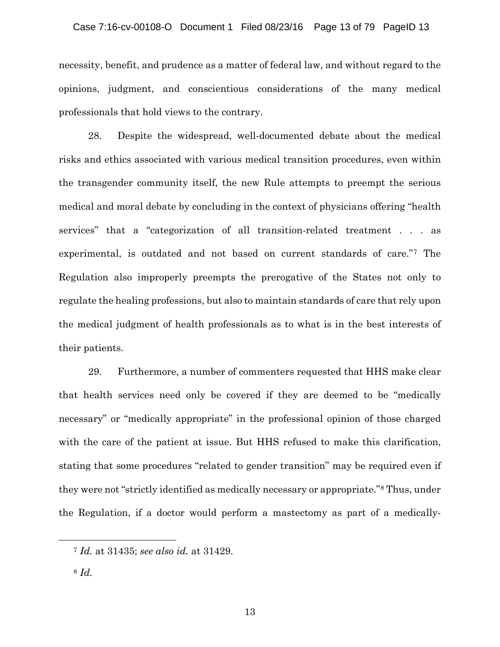necessity, benefit, and prudence as a matter of federal law, and without regard to the opinions, judgment, and conscientious considerations of the many medical professionals that hold views to the contrary.

28. Despite the widespread, well-documented debate about the medical risks and ethics associated with various medical transition procedures, even within the transgender community itself, the new Rule attempts to preempt the serious medical and moral debate by concluding in the context of physicians offering "health services" that a "categorization of all transition-related treatment . . . as experimental, is outdated and not based on current standards of care."[7](#page-12-0) The Regulation also improperly preempts the prerogative of the States not only to regulate the healing professions, but also to maintain standards of care that rely upon the medical judgment of health professionals as to what is in the best interests of their patients.

29. Furthermore, a number of commenters requested that HHS make clear that health services need only be covered if they are deemed to be "medically necessary" or "medically appropriate" in the professional opinion of those charged with the care of the patient at issue. But HHS refused to make this clarification, stating that some procedures "related to gender transition" may be required even if they were not "strictly identified as medically necessary or appropriate." [8](#page-12-1) Thus, under the Regulation, if a doctor would perform a mastectomy as part of a medically-

<span id="page-12-0"></span><sup>7</sup> *Id.* at 31435; *see also id.* at 31429.

<span id="page-12-1"></span><sup>8</sup> *Id.*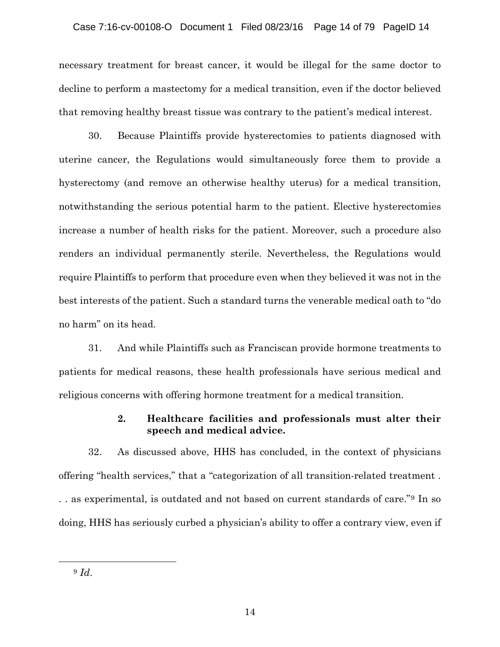# Case 7:16-cv-00108-O Document 1 Filed 08/23/16 Page 14 of 79 PageID 14

necessary treatment for breast cancer, it would be illegal for the same doctor to decline to perform a mastectomy for a medical transition, even if the doctor believed that removing healthy breast tissue was contrary to the patient's medical interest.

30. Because Plaintiffs provide hysterectomies to patients diagnosed with uterine cancer, the Regulations would simultaneously force them to provide a hysterectomy (and remove an otherwise healthy uterus) for a medical transition, notwithstanding the serious potential harm to the patient. Elective hysterectomies increase a number of health risks for the patient. Moreover, such a procedure also renders an individual permanently sterile. Nevertheless, the Regulations would require Plaintiffs to perform that procedure even when they believed it was not in the best interests of the patient. Such a standard turns the venerable medical oath to "do no harm" on its head.

31. And while Plaintiffs such as Franciscan provide hormone treatments to patients for medical reasons, these health professionals have serious medical and religious concerns with offering hormone treatment for a medical transition.

# **2. Healthcare facilities and professionals must alter their speech and medical advice.**

32. As discussed above, HHS has concluded, in the context of physicians offering "health services," that a "categorization of all transition-related treatment . . . as experimental, is outdated and not based on current standards of care."[9](#page-13-0) In so doing, HHS has seriously curbed a physician's ability to offer a contrary view, even if

<span id="page-13-0"></span> $\overline{a}$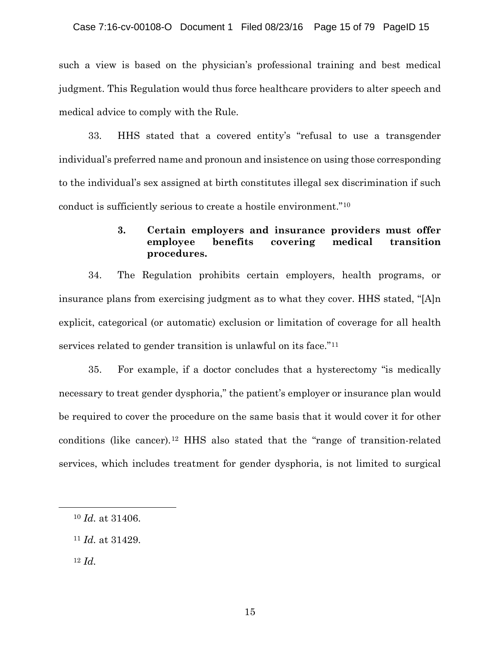such a view is based on the physician's professional training and best medical judgment. This Regulation would thus force healthcare providers to alter speech and medical advice to comply with the Rule.

33. HHS stated that a covered entity's "refusal to use a transgender individual's preferred name and pronoun and insistence on using those corresponding to the individual's sex assigned at birth constitutes illegal sex discrimination if such conduct is sufficiently serious to create a hostile environment."[10](#page-14-0)

# **3. Certain employers and insurance providers must offer employee benefits covering medical transition procedures.**

34. The Regulation prohibits certain employers, health programs, or insurance plans from exercising judgment as to what they cover. HHS stated, "[A]n explicit, categorical (or automatic) exclusion or limitation of coverage for all health services related to gender transition is unlawful on its face."[11](#page-14-1)

35. For example, if a doctor concludes that a hysterectomy "is medically necessary to treat gender dysphoria," the patient's employer or insurance plan would be required to cover the procedure on the same basis that it would cover it for other conditions (like cancer).[12](#page-14-2) HHS also stated that the "range of transition-related services, which includes treatment for gender dysphoria, is not limited to surgical

<span id="page-14-2"></span><sup>12</sup> *Id.* 

<span id="page-14-1"></span><span id="page-14-0"></span> $\overline{a}$ 

<sup>10</sup> *Id.* at 31406.

<sup>11</sup> *Id.* at 31429.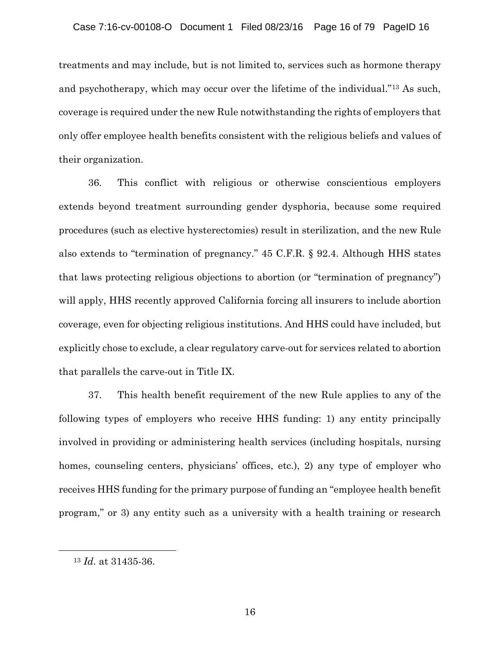treatments and may include, but is not limited to, services such as hormone therapy and psychotherapy, which may occur over the lifetime of the individual."[13](#page-15-0) As such, coverage is required under the new Rule notwithstanding the rights of employers that only offer employee health benefits consistent with the religious beliefs and values of their organization.

36. This conflict with religious or otherwise conscientious employers extends beyond treatment surrounding gender dysphoria, because some required procedures (such as elective hysterectomies) result in sterilization, and the new Rule also extends to "termination of pregnancy." 45 C.F.R. § 92.4. Although HHS states that laws protecting religious objections to abortion (or "termination of pregnancy") will apply, HHS recently approved California forcing all insurers to include abortion coverage, even for objecting religious institutions. And HHS could have included, but explicitly chose to exclude, a clear regulatory carve-out for services related to abortion that parallels the carve-out in Title IX.

37. This health benefit requirement of the new Rule applies to any of the following types of employers who receive HHS funding: 1) any entity principally involved in providing or administering health services (including hospitals, nursing homes, counseling centers, physicians' offices, etc.), 2) any type of employer who receives HHS funding for the primary purpose of funding an "employee health benefit program," or 3) any entity such as a university with a health training or research

<span id="page-15-0"></span><sup>13</sup> *Id.* at 31435-36.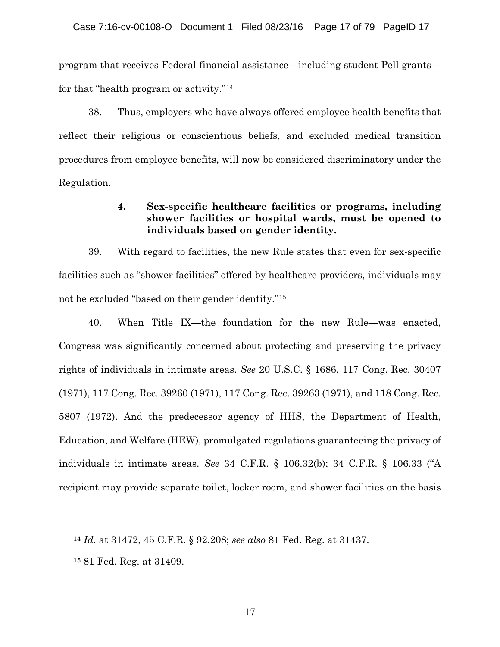program that receives Federal financial assistance—including student Pell grants for that "health program or activity."[14](#page-16-0)

38. Thus, employers who have always offered employee health benefits that reflect their religious or conscientious beliefs, and excluded medical transition procedures from employee benefits, will now be considered discriminatory under the Regulation.

# **4. Sex-specific healthcare facilities or programs, including shower facilities or hospital wards, must be opened to individuals based on gender identity.**

39. With regard to facilities, the new Rule states that even for sex-specific facilities such as "shower facilities" offered by healthcare providers, individuals may not be excluded "based on their gender identity."[15](#page-16-1)

40. When Title IX—the foundation for the new Rule—was enacted, Congress was significantly concerned about protecting and preserving the privacy rights of individuals in intimate areas. *See* 20 U.S.C. § 1686, 117 Cong. Rec. 30407 (1971), 117 Cong. Rec. 39260 (1971), 117 Cong. Rec. 39263 (1971), and 118 Cong. Rec. 5807 (1972). And the predecessor agency of HHS, the Department of Health, Education, and Welfare (HEW), promulgated regulations guaranteeing the privacy of individuals in intimate areas. *See* 34 C.F.R. § 106.32(b); 34 C.F.R. § 106.33 ("A recipient may provide separate toilet, locker room, and shower facilities on the basis

<span id="page-16-0"></span><sup>14</sup> *Id.* at 31472, 45 C.F.R. § 92.208; *see also* 81 Fed. Reg. at 31437.

<span id="page-16-1"></span><sup>15</sup> 81 Fed. Reg. at 31409.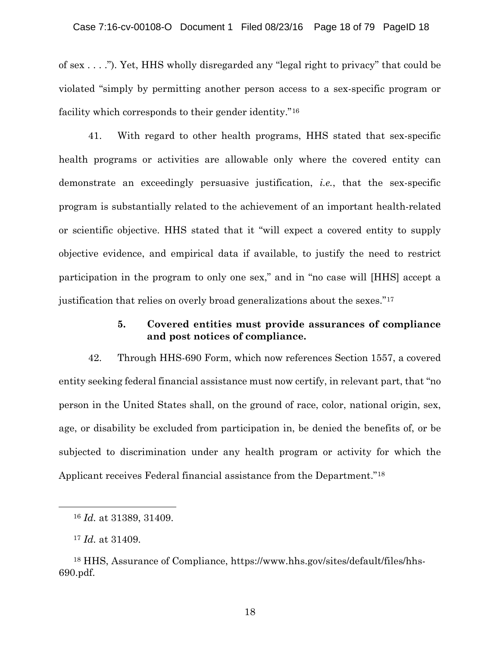of sex . . . ."). Yet, HHS wholly disregarded any "legal right to privacy" that could be violated "simply by permitting another person access to a sex-specific program or facility which corresponds to their gender identity."[16](#page-17-0)

41. With regard to other health programs, HHS stated that sex-specific health programs or activities are allowable only where the covered entity can demonstrate an exceedingly persuasive justification, *i.e.*, that the sex-specific program is substantially related to the achievement of an important health-related or scientific objective. HHS stated that it "will expect a covered entity to supply objective evidence, and empirical data if available, to justify the need to restrict participation in the program to only one sex," and in "no case will [HHS] accept a justification that relies on overly broad generalizations about the sexes."[17](#page-17-1)

# **5. Covered entities must provide assurances of compliance and post notices of compliance.**

42. Through HHS-690 Form, which now references Section 1557, a covered entity seeking federal financial assistance must now certify, in relevant part, that "no person in the United States shall, on the ground of race, color, national origin, sex, age, or disability be excluded from participation in, be denied the benefits of, or be subjected to discrimination under any health program or activity for which the Applicant receives Federal financial assistance from the Department."[18](#page-17-2)

<span id="page-17-0"></span><sup>16</sup> *Id.* at 31389, 31409.

<sup>17</sup> *Id.* at 31409.

<span id="page-17-2"></span><span id="page-17-1"></span><sup>18</sup> HHS, Assurance of Compliance, https://www.hhs.gov/sites/default/files/hhs-690.pdf.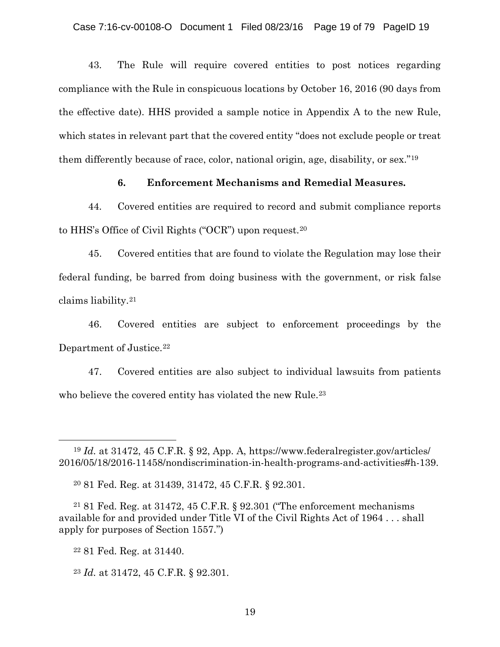43. The Rule will require covered entities to post notices regarding compliance with the Rule in conspicuous locations by October 16, 2016 (90 days from the effective date). HHS provided a sample notice in Appendix A to the new Rule, which states in relevant part that the covered entity "does not exclude people or treat them differently because of race, color, national origin, age, disability, or sex."[19](#page-18-0)

# **6. Enforcement Mechanisms and Remedial Measures.**

44. Covered entities are required to record and submit compliance reports to HHS's Office of Civil Rights ("OCR") upon request.[20](#page-18-1)

45. Covered entities that are found to violate the Regulation may lose their federal funding, be barred from doing business with the government, or risk false claims liability.[21](#page-18-2)

46. Covered entities are subject to enforcement proceedings by the Department of Justice.<sup>[22](#page-18-3)</sup>

47. Covered entities are also subject to individual lawsuits from patients who believe the covered entity has violated the new Rule. [23](#page-18-4)

<span id="page-18-3"></span><span id="page-18-2"></span><span id="page-18-1"></span><sup>21</sup> 81 Fed. Reg. at 31472, 45 C.F.R. § 92.301 ("The enforcement mechanisms available for and provided under Title VI of the Civil Rights Act of 1964 . . . shall apply for purposes of Section 1557.")

<span id="page-18-0"></span><sup>19</sup> *Id.* at 31472, 45 C.F.R. § 92, App. A, https://www.federalregister.gov/articles/ 2016/05/18/2016-11458/nondiscrimination-in-health-programs-and-activities#h-139.

<sup>20</sup> 81 Fed. Reg. at 31439, 31472, 45 C.F.R. § 92.301.

<sup>22</sup> 81 Fed. Reg. at 31440.

<span id="page-18-4"></span><sup>23</sup> *Id.* at 31472, 45 C.F.R. § 92.301.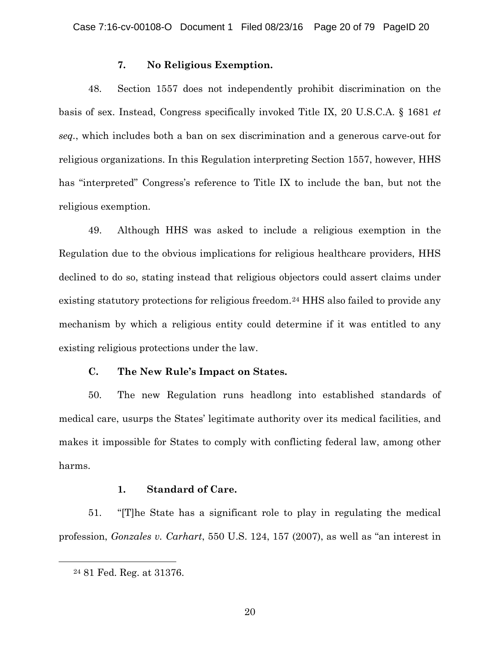## **7. No Religious Exemption.**

48. Section 1557 does not independently prohibit discrimination on the basis of sex. Instead, Congress specifically invoked Title IX, 20 U.S.C.A. § 1681 *et seq.*, which includes both a ban on sex discrimination and a generous carve-out for religious organizations. In this Regulation interpreting Section 1557, however, HHS has "interpreted" Congress's reference to Title IX to include the ban, but not the religious exemption.

49. Although HHS was asked to include a religious exemption in the Regulation due to the obvious implications for religious healthcare providers, HHS declined to do so, stating instead that religious objectors could assert claims under existing statutory protections for religious freedom.<sup>[24](#page-19-0)</sup> HHS also failed to provide any mechanism by which a religious entity could determine if it was entitled to any existing religious protections under the law.

# **C. The New Rule's Impact on States.**

50. The new Regulation runs headlong into established standards of medical care, usurps the States' legitimate authority over its medical facilities, and makes it impossible for States to comply with conflicting federal law, among other harms.

# **1. Standard of Care.**

51. "[T]he State has a significant role to play in regulating the medical profession, *Gonzales v. Carhart*, 550 U.S. 124, 157 (2007), as well as "an interest in

<span id="page-19-0"></span><sup>24</sup> 81 Fed. Reg. at 31376.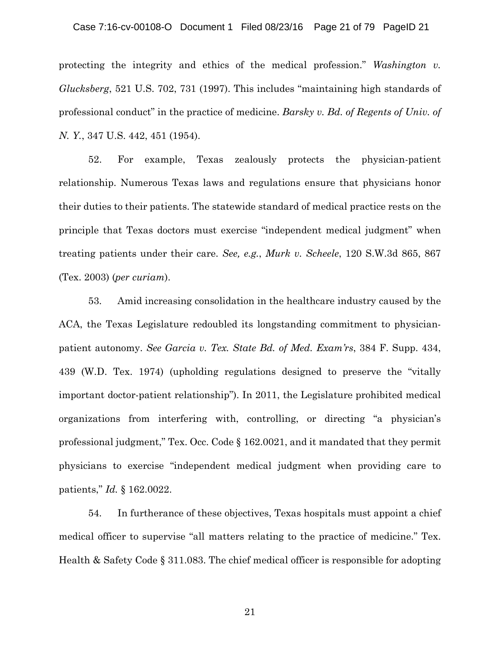protecting the integrity and ethics of the medical profession." *Washington v. Glucksberg*, 521 U.S. 702, 731 (1997). This includes "maintaining high standards of professional conduct" in the practice of medicine. *Barsky v. Bd. of Regents of Univ. of N. Y.*, 347 U.S. 442, 451 (1954).

52. For example, Texas zealously protects the physician-patient relationship. Numerous Texas laws and regulations ensure that physicians honor their duties to their patients. The statewide standard of medical practice rests on the principle that Texas doctors must exercise "independent medical judgment" when treating patients under their care. *See, e.g.*, *Murk v. Scheele*, 120 S.W.3d 865, 867 (Tex. 2003) (*per curiam*).

53. Amid increasing consolidation in the healthcare industry caused by the ACA, the Texas Legislature redoubled its longstanding commitment to physicianpatient autonomy. *See Garcia v. Tex. State Bd. of Med. Exam'rs*, 384 F. Supp. 434, 439 (W.D. Tex. 1974) (upholding regulations designed to preserve the "vitally important doctor-patient relationship"). In 2011, the Legislature prohibited medical organizations from interfering with, controlling, or directing "a physician's professional judgment," Tex. Occ. Code § 162.0021, and it mandated that they permit physicians to exercise "independent medical judgment when providing care to patients," *Id.* § 162.0022.

54. In furtherance of these objectives, Texas hospitals must appoint a chief medical officer to supervise "all matters relating to the practice of medicine." Tex. Health & Safety Code § 311.083. The chief medical officer is responsible for adopting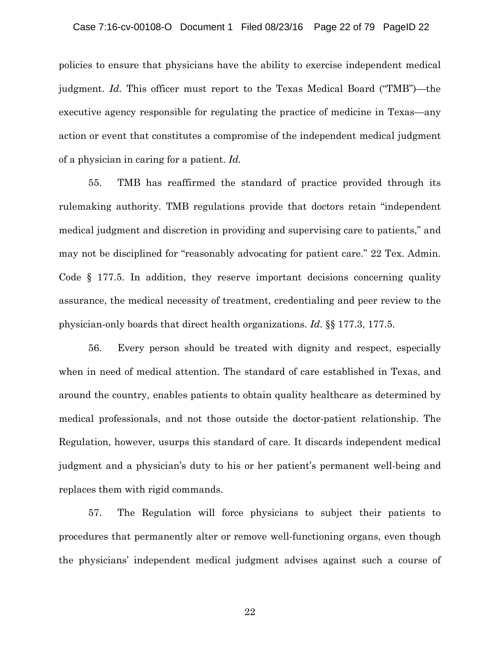### Case 7:16-cv-00108-O Document 1 Filed 08/23/16 Page 22 of 79 PageID 22

policies to ensure that physicians have the ability to exercise independent medical judgment. *Id.* This officer must report to the Texas Medical Board ("TMB")—the executive agency responsible for regulating the practice of medicine in Texas—any action or event that constitutes a compromise of the independent medical judgment of a physician in caring for a patient. *Id.*

55. TMB has reaffirmed the standard of practice provided through its rulemaking authority. TMB regulations provide that doctors retain "independent medical judgment and discretion in providing and supervising care to patients," and may not be disciplined for "reasonably advocating for patient care." 22 Tex. Admin. Code § 177.5. In addition, they reserve important decisions concerning quality assurance, the medical necessity of treatment, credentialing and peer review to the physician-only boards that direct health organizations. *Id.* §§ 177.3, 177.5.

56. Every person should be treated with dignity and respect, especially when in need of medical attention. The standard of care established in Texas, and around the country, enables patients to obtain quality healthcare as determined by medical professionals, and not those outside the doctor-patient relationship. The Regulation, however, usurps this standard of care. It discards independent medical judgment and a physician's duty to his or her patient's permanent well-being and replaces them with rigid commands.

57. The Regulation will force physicians to subject their patients to procedures that permanently alter or remove well-functioning organs, even though the physicians' independent medical judgment advises against such a course of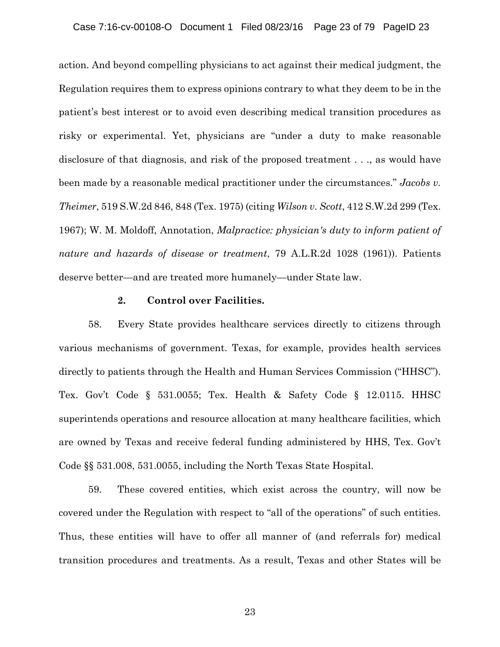action. And beyond compelling physicians to act against their medical judgment, the Regulation requires them to express opinions contrary to what they deem to be in the patient's best interest or to avoid even describing medical transition procedures as risky or experimental. Yet, physicians are "under a duty to make reasonable disclosure of that diagnosis, and risk of the proposed treatment . . ., as would have been made by a reasonable medical practitioner under the circumstances." *Jacobs v. Theimer*, 519 S.W.2d 846, 848 (Tex. 1975) (citing *Wilson v. Scott*, 412 S.W.2d 299 (Tex. 1967); W. M. Moldoff, Annotation, *Malpractice: physician's duty to inform patient of nature and hazards of disease or treatment*, 79 A.L.R.2d 1028 (1961)). Patients deserve better—and are treated more humanely—under State law.

#### **2. Control over Facilities.**

58. Every State provides healthcare services directly to citizens through various mechanisms of government. Texas, for example, provides health services directly to patients through the Health and Human Services Commission ("HHSC"). Tex. Gov't Code § 531.0055; Tex. Health & Safety Code § 12.0115. HHSC superintends operations and resource allocation at many healthcare facilities, which are owned by Texas and receive federal funding administered by HHS, Tex. Gov't Code §§ 531.008, 531.0055, including the North Texas State Hospital.

59. These covered entities, which exist across the country, will now be covered under the Regulation with respect to "all of the operations" of such entities. Thus, these entities will have to offer all manner of (and referrals for) medical transition procedures and treatments. As a result, Texas and other States will be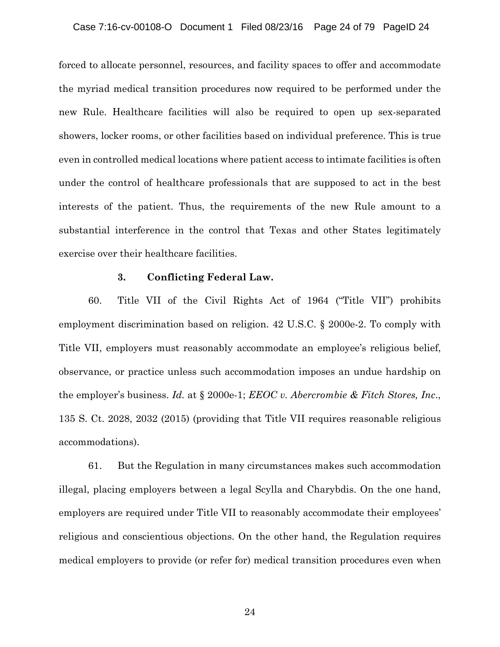forced to allocate personnel, resources, and facility spaces to offer and accommodate the myriad medical transition procedures now required to be performed under the new Rule. Healthcare facilities will also be required to open up sex-separated showers, locker rooms, or other facilities based on individual preference. This is true even in controlled medical locations where patient access to intimate facilities is often under the control of healthcare professionals that are supposed to act in the best interests of the patient. Thus, the requirements of the new Rule amount to a substantial interference in the control that Texas and other States legitimately exercise over their healthcare facilities.

### **3. Conflicting Federal Law.**

60. Title VII of the Civil Rights Act of 1964 ("Title VII") prohibits employment discrimination based on religion. 42 U.S.C. § 2000e-2. To comply with Title VII, employers must reasonably accommodate an employee's religious belief, observance, or practice unless such accommodation imposes an undue hardship on the employer's business. *Id.* at § 2000e-1; *EEOC v. Abercrombie & Fitch Stores, Inc*., 135 S. Ct. 2028, 2032 (2015) (providing that Title VII requires reasonable religious accommodations).

61. But the Regulation in many circumstances makes such accommodation illegal, placing employers between a legal Scylla and Charybdis. On the one hand, employers are required under Title VII to reasonably accommodate their employees' religious and conscientious objections. On the other hand, the Regulation requires medical employers to provide (or refer for) medical transition procedures even when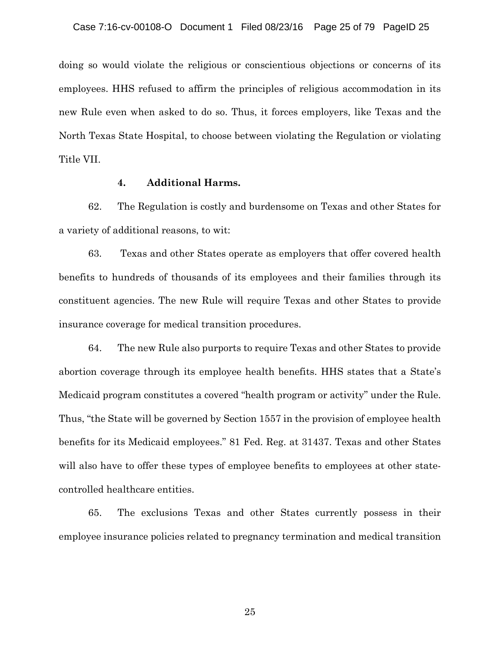doing so would violate the religious or conscientious objections or concerns of its employees. HHS refused to affirm the principles of religious accommodation in its new Rule even when asked to do so. Thus, it forces employers, like Texas and the North Texas State Hospital, to choose between violating the Regulation or violating Title VII.

### **4. Additional Harms.**

62. The Regulation is costly and burdensome on Texas and other States for a variety of additional reasons, to wit:

63. Texas and other States operate as employers that offer covered health benefits to hundreds of thousands of its employees and their families through its constituent agencies. The new Rule will require Texas and other States to provide insurance coverage for medical transition procedures.

64. The new Rule also purports to require Texas and other States to provide abortion coverage through its employee health benefits. HHS states that a State's Medicaid program constitutes a covered "health program or activity" under the Rule. Thus, "the State will be governed by Section 1557 in the provision of employee health benefits for its Medicaid employees." 81 Fed. Reg. at 31437. Texas and other States will also have to offer these types of employee benefits to employees at other statecontrolled healthcare entities.

65. The exclusions Texas and other States currently possess in their employee insurance policies related to pregnancy termination and medical transition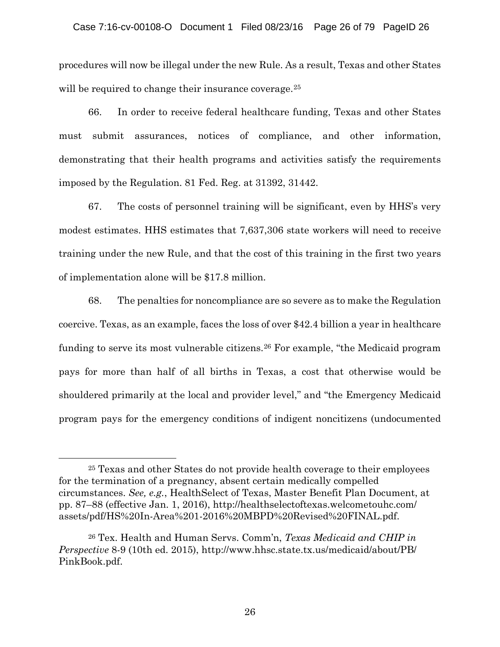procedures will now be illegal under the new Rule. As a result, Texas and other States will be required to change their insurance coverage.<sup>[25](#page-25-0)</sup>

66. In order to receive federal healthcare funding, Texas and other States must submit assurances, notices of compliance, and other information, demonstrating that their health programs and activities satisfy the requirements imposed by the Regulation. 81 Fed. Reg. at 31392, 31442.

67. The costs of personnel training will be significant, even by HHS's very modest estimates. HHS estimates that 7,637,306 state workers will need to receive training under the new Rule, and that the cost of this training in the first two years of implementation alone will be \$17.8 million.

68. The penalties for noncompliance are so severe as to make the Regulation coercive. Texas, as an example, faces the loss of over \$42.4 billion a year in healthcare funding to serve its most vulnerable citizens.[26](#page-25-1) For example, "the Medicaid program pays for more than half of all births in Texas, a cost that otherwise would be shouldered primarily at the local and provider level," and "the Emergency Medicaid program pays for the emergency conditions of indigent noncitizens (undocumented

 $\overline{a}$ 

<span id="page-25-0"></span><sup>25</sup> Texas and other States do not provide health coverage to their employees for the termination of a pregnancy, absent certain medically compelled circumstances. *See, e.g.*, HealthSelect of Texas, Master Benefit Plan Document, at pp. 87–88 (effective Jan. 1, 2016), http://healthselectoftexas.welcometouhc.com/ assets/pdf/HS%20In-Area%201-2016%20MBPD%20Revised%20FINAL.pdf.

<span id="page-25-1"></span><sup>26</sup> Tex. Health and Human Servs. Comm'n, *Texas Medicaid and CHIP in Perspective* 8-9 (10th ed. 2015), http://www.hhsc.state.tx.us/medicaid/about/PB/ PinkBook.pdf.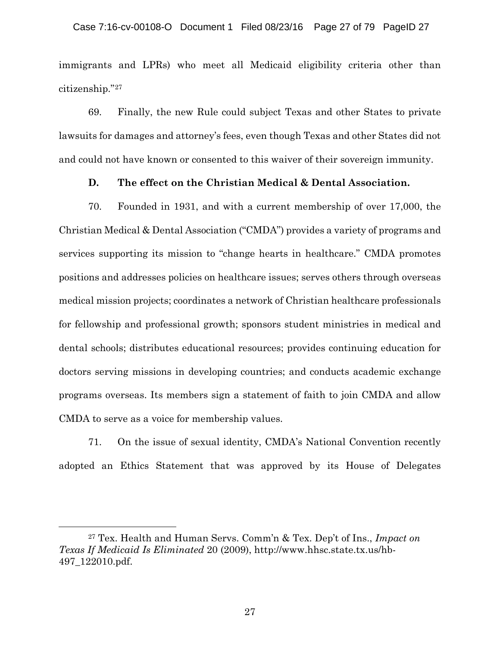immigrants and LPRs) who meet all Medicaid eligibility criteria other than citizenship."[27](#page-26-0)

69. Finally, the new Rule could subject Texas and other States to private lawsuits for damages and attorney's fees, even though Texas and other States did not and could not have known or consented to this waiver of their sovereign immunity.

# **D. The effect on the Christian Medical & Dental Association.**

70. Founded in 1931, and with a current membership of over 17,000, the Christian Medical & Dental Association ("CMDA") provides a variety of programs and services supporting its mission to "change hearts in healthcare." CMDA promotes positions and addresses policies on healthcare issues; serves others through overseas medical mission projects; coordinates a network of Christian healthcare professionals for fellowship and professional growth; sponsors student ministries in medical and dental schools; distributes educational resources; provides continuing education for doctors serving missions in developing countries; and conducts academic exchange programs overseas. Its members sign a statement of faith to join CMDA and allow CMDA to serve as a voice for membership values.

71. On the issue of sexual identity, CMDA's National Convention recently adopted an Ethics Statement that was approved by its House of Delegates

<span id="page-26-0"></span><sup>27</sup> Tex. Health and Human Servs. Comm'n & Tex. Dep't of Ins., *Impact on Texas If Medicaid Is Eliminated* 20 (2009), http://www.hhsc.state.tx.us/hb-497\_122010.pdf.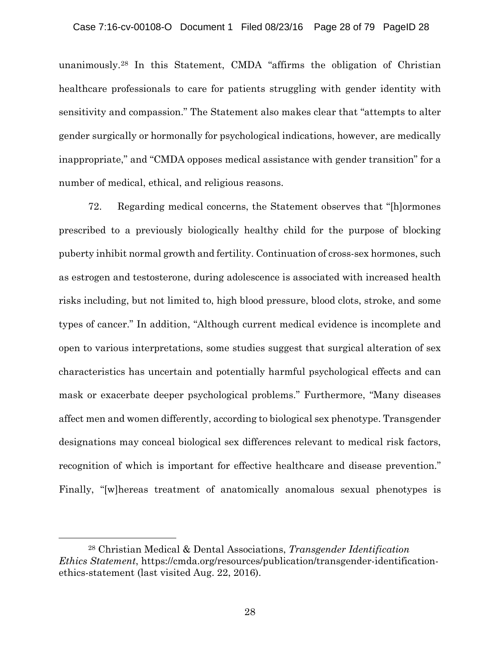unanimously.[28](#page-27-0) In this Statement, CMDA "affirms the obligation of Christian healthcare professionals to care for patients struggling with gender identity with sensitivity and compassion." The Statement also makes clear that "attempts to alter gender surgically or hormonally for psychological indications, however, are medically inappropriate," and "CMDA opposes medical assistance with gender transition" for a number of medical, ethical, and religious reasons.

72. Regarding medical concerns, the Statement observes that "[h]ormones prescribed to a previously biologically healthy child for the purpose of blocking puberty inhibit normal growth and fertility. Continuation of cross-sex hormones, such as estrogen and testosterone, during adolescence is associated with increased health risks including, but not limited to, high blood pressure, blood clots, stroke, and some types of cancer." In addition, "Although current medical evidence is incomplete and open to various interpretations, some studies suggest that surgical alteration of sex characteristics has uncertain and potentially harmful psychological effects and can mask or exacerbate deeper psychological problems." Furthermore, "Many diseases affect men and women differently, according to biological sex phenotype. Transgender designations may conceal biological sex differences relevant to medical risk factors, recognition of which is important for effective healthcare and disease prevention." Finally, "[w]hereas treatment of anatomically anomalous sexual phenotypes is

 $\overline{a}$ 

<span id="page-27-0"></span><sup>28</sup> Christian Medical & Dental Associations, *Transgender Identification Ethics Statement*, https://cmda.org/resources/publication/transgender-identificationethics-statement (last visited Aug. 22, 2016).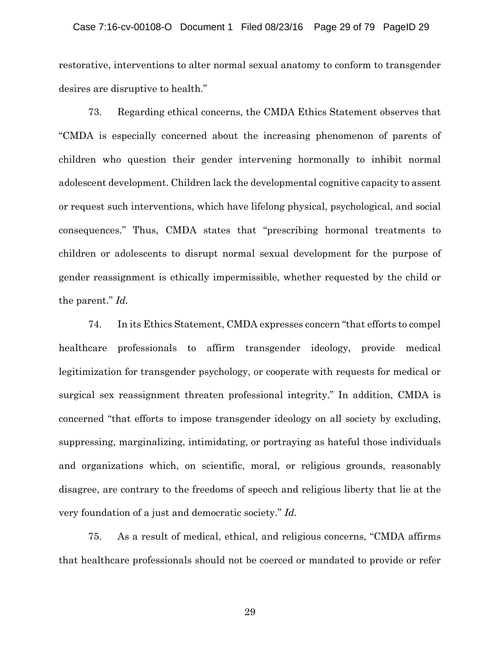### Case 7:16-cv-00108-O Document 1 Filed 08/23/16 Page 29 of 79 PageID 29

restorative, interventions to alter normal sexual anatomy to conform to transgender desires are disruptive to health."

73. Regarding ethical concerns, the CMDA Ethics Statement observes that "CMDA is especially concerned about the increasing phenomenon of parents of children who question their gender intervening hormonally to inhibit normal adolescent development. Children lack the developmental cognitive capacity to assent or request such interventions, which have lifelong physical, psychological, and social consequences." Thus, CMDA states that "prescribing hormonal treatments to children or adolescents to disrupt normal sexual development for the purpose of gender reassignment is ethically impermissible, whether requested by the child or the parent." *Id.*

74. In its Ethics Statement, CMDA expresses concern "that efforts to compel healthcare professionals to affirm transgender ideology, provide medical legitimization for transgender psychology, or cooperate with requests for medical or surgical sex reassignment threaten professional integrity." In addition, CMDA is concerned "that efforts to impose transgender ideology on all society by excluding, suppressing, marginalizing, intimidating, or portraying as hateful those individuals and organizations which, on scientific, moral, or religious grounds, reasonably disagree, are contrary to the freedoms of speech and religious liberty that lie at the very foundation of a just and democratic society." *Id.*

75. As a result of medical, ethical, and religious concerns, "CMDA affirms that healthcare professionals should not be coerced or mandated to provide or refer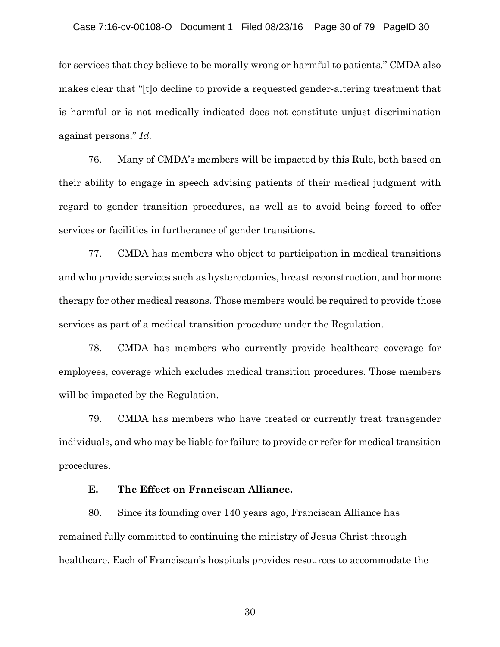for services that they believe to be morally wrong or harmful to patients." CMDA also makes clear that "[t]o decline to provide a requested gender-altering treatment that is harmful or is not medically indicated does not constitute unjust discrimination against persons." *Id.*

76. Many of CMDA's members will be impacted by this Rule, both based on their ability to engage in speech advising patients of their medical judgment with regard to gender transition procedures, as well as to avoid being forced to offer services or facilities in furtherance of gender transitions.

77. CMDA has members who object to participation in medical transitions and who provide services such as hysterectomies, breast reconstruction, and hormone therapy for other medical reasons. Those members would be required to provide those services as part of a medical transition procedure under the Regulation.

78. CMDA has members who currently provide healthcare coverage for employees, coverage which excludes medical transition procedures. Those members will be impacted by the Regulation.

79. CMDA has members who have treated or currently treat transgender individuals, and who may be liable for failure to provide or refer for medical transition procedures.

# **E. The Effect on Franciscan Alliance.**

80. Since its founding over 140 years ago, Franciscan Alliance has remained fully committed to continuing the ministry of Jesus Christ through healthcare. Each of Franciscan's hospitals provides resources to accommodate the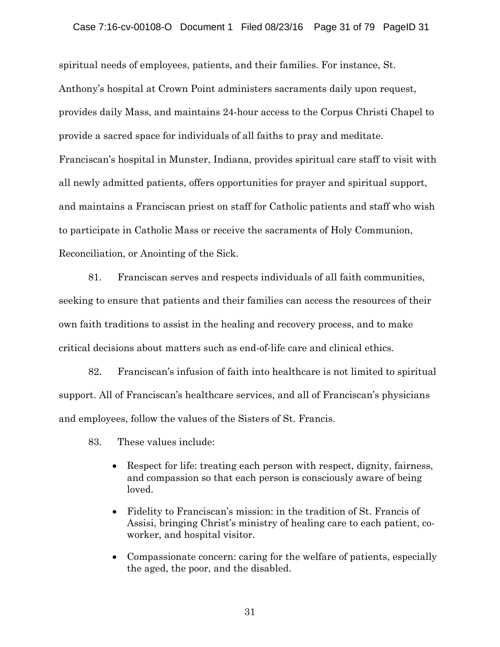spiritual needs of employees, patients, and their families. For instance, St. Anthony's hospital at Crown Point administers sacraments daily upon request, provides daily Mass, and maintains 24-hour access to the Corpus Christi Chapel to provide a sacred space for individuals of all faiths to pray and meditate. Franciscan's hospital in Munster, Indiana, provides spiritual care staff to visit with all newly admitted patients, offers opportunities for prayer and spiritual support, and maintains a Franciscan priest on staff for Catholic patients and staff who wish to participate in Catholic Mass or receive the sacraments of Holy Communion, Reconciliation, or Anointing of the Sick.

81. Franciscan serves and respects individuals of all faith communities, seeking to ensure that patients and their families can access the resources of their own faith traditions to assist in the healing and recovery process, and to make critical decisions about matters such as end-of-life care and clinical ethics.

82. Franciscan's infusion of faith into healthcare is not limited to spiritual support. All of Franciscan's healthcare services, and all of Franciscan's physicians and employees, follow the values of the Sisters of St. Francis.

- 83. These values include:
	- Respect for life: treating each person with respect, dignity, fairness, and compassion so that each person is consciously aware of being loved.
	- Fidelity to Franciscan's mission: in the tradition of St. Francis of Assisi, bringing Christ's ministry of healing care to each patient, coworker, and hospital visitor.
	- Compassionate concern: caring for the welfare of patients, especially the aged, the poor, and the disabled.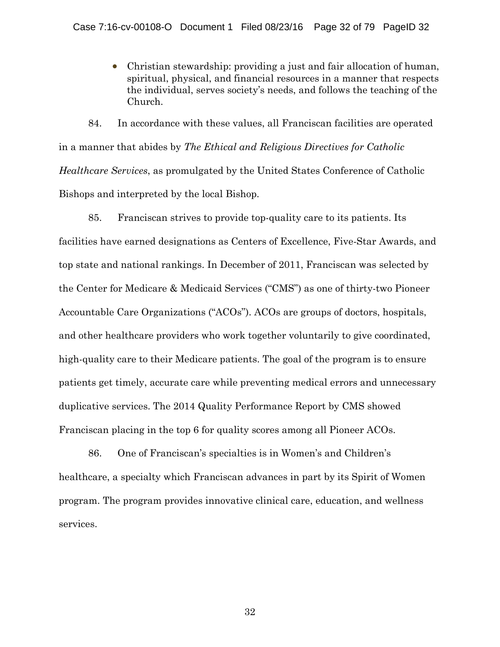• Christian stewardship: providing a just and fair allocation of human, spiritual, physical, and financial resources in a manner that respects the individual, serves society's needs, and follows the teaching of the Church.

84. In accordance with these values, all Franciscan facilities are operated in a manner that abides by *The Ethical and Religious Directives for Catholic Healthcare Services*, as promulgated by the United States Conference of Catholic Bishops and interpreted by the local Bishop.

85. Franciscan strives to provide top-quality care to its patients. Its facilities have earned designations as Centers of Excellence, Five-Star Awards, and top state and national rankings. In December of 2011, Franciscan was selected by the Center for Medicare & Medicaid Services ("CMS") as one of thirty-two Pioneer Accountable Care Organizations ("ACOs"). ACOs are groups of doctors, hospitals, and other healthcare providers who work together voluntarily to give coordinated, high-quality care to their Medicare patients. The goal of the program is to ensure patients get timely, accurate care while preventing medical errors and unnecessary duplicative services. The 2014 Quality Performance Report by CMS showed Franciscan placing in the top 6 for quality scores among all Pioneer ACOs.

86. One of Franciscan's specialties is in Women's and Children's healthcare, a specialty which Franciscan advances in part by its Spirit of Women program. The program provides innovative clinical care, education, and wellness services.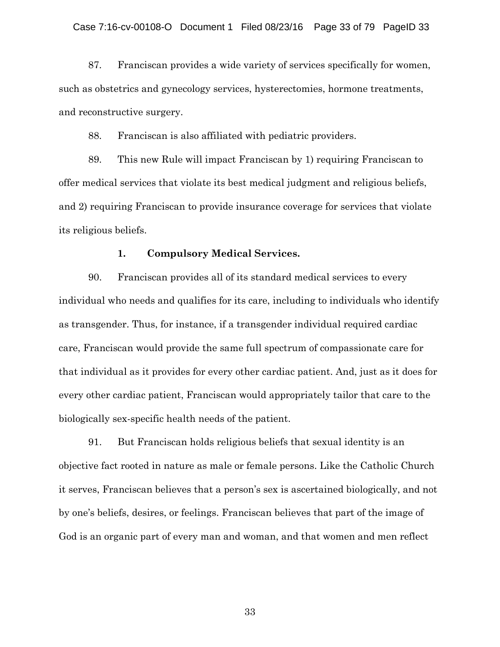87. Franciscan provides a wide variety of services specifically for women, such as obstetrics and gynecology services, hysterectomies, hormone treatments, and reconstructive surgery.

88. Franciscan is also affiliated with pediatric providers.

89. This new Rule will impact Franciscan by 1) requiring Franciscan to offer medical services that violate its best medical judgment and religious beliefs, and 2) requiring Franciscan to provide insurance coverage for services that violate its religious beliefs.

### **1. Compulsory Medical Services.**

90. Franciscan provides all of its standard medical services to every individual who needs and qualifies for its care, including to individuals who identify as transgender. Thus, for instance, if a transgender individual required cardiac care, Franciscan would provide the same full spectrum of compassionate care for that individual as it provides for every other cardiac patient. And, just as it does for every other cardiac patient, Franciscan would appropriately tailor that care to the biologically sex-specific health needs of the patient.

91. But Franciscan holds religious beliefs that sexual identity is an objective fact rooted in nature as male or female persons. Like the Catholic Church it serves, Franciscan believes that a person's sex is ascertained biologically, and not by one's beliefs, desires, or feelings. Franciscan believes that part of the image of God is an organic part of every man and woman, and that women and men reflect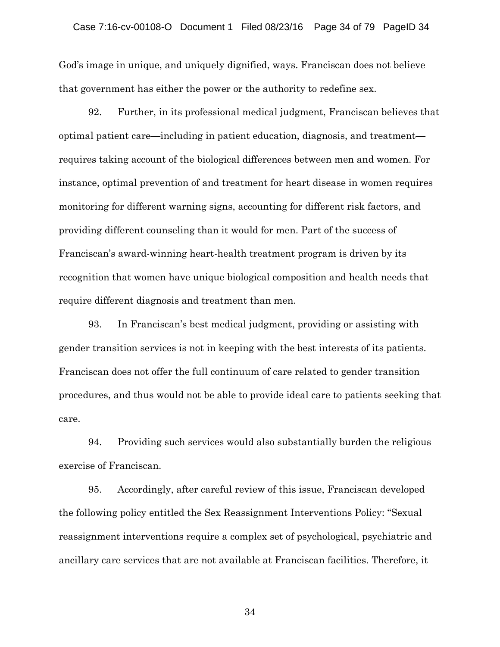#### Case 7:16-cv-00108-O Document 1 Filed 08/23/16 Page 34 of 79 PageID 34

God's image in unique, and uniquely dignified, ways. Franciscan does not believe that government has either the power or the authority to redefine sex.

92. Further, in its professional medical judgment, Franciscan believes that optimal patient care—including in patient education, diagnosis, and treatment requires taking account of the biological differences between men and women. For instance, optimal prevention of and treatment for heart disease in women requires monitoring for different warning signs, accounting for different risk factors, and providing different counseling than it would for men. Part of the success of Franciscan's award-winning heart-health treatment program is driven by its recognition that women have unique biological composition and health needs that require different diagnosis and treatment than men.

93. In Franciscan's best medical judgment, providing or assisting with gender transition services is not in keeping with the best interests of its patients. Franciscan does not offer the full continuum of care related to gender transition procedures, and thus would not be able to provide ideal care to patients seeking that care.

94. Providing such services would also substantially burden the religious exercise of Franciscan.

95. Accordingly, after careful review of this issue, Franciscan developed the following policy entitled the Sex Reassignment Interventions Policy: "Sexual reassignment interventions require a complex set of psychological, psychiatric and ancillary care services that are not available at Franciscan facilities. Therefore, it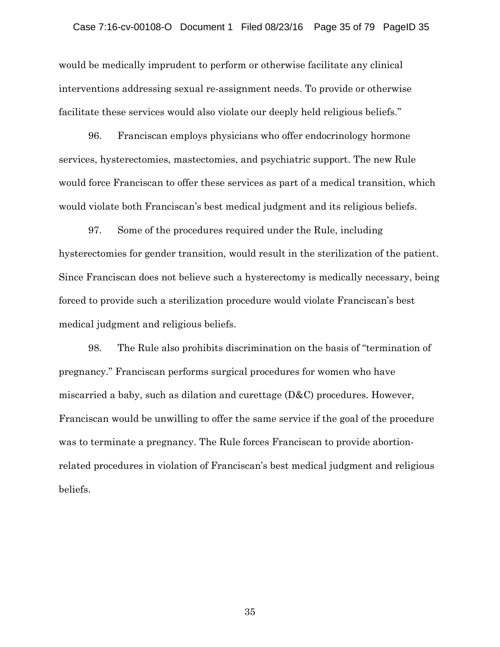would be medically imprudent to perform or otherwise facilitate any clinical interventions addressing sexual re-assignment needs. To provide or otherwise facilitate these services would also violate our deeply held religious beliefs."

96. Franciscan employs physicians who offer endocrinology hormone services, hysterectomies, mastectomies, and psychiatric support. The new Rule would force Franciscan to offer these services as part of a medical transition, which would violate both Franciscan's best medical judgment and its religious beliefs.

97. Some of the procedures required under the Rule, including hysterectomies for gender transition, would result in the sterilization of the patient. Since Franciscan does not believe such a hysterectomy is medically necessary, being forced to provide such a sterilization procedure would violate Franciscan's best medical judgment and religious beliefs.

98. The Rule also prohibits discrimination on the basis of "termination of pregnancy." Franciscan performs surgical procedures for women who have miscarried a baby, such as dilation and curettage (D&C) procedures. However, Franciscan would be unwilling to offer the same service if the goal of the procedure was to terminate a pregnancy. The Rule forces Franciscan to provide abortionrelated procedures in violation of Franciscan's best medical judgment and religious beliefs.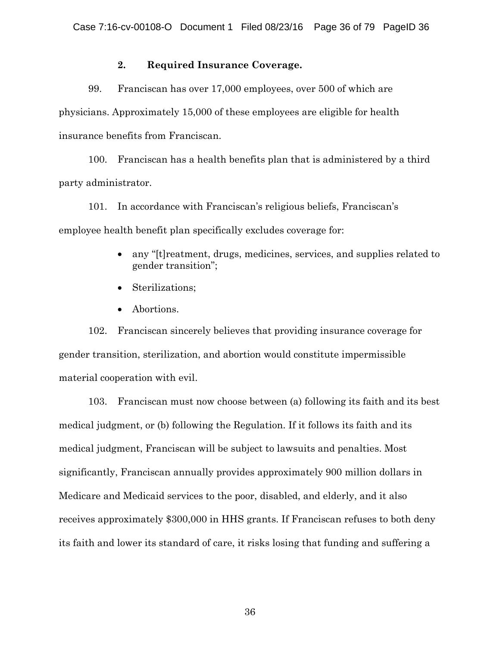## **2. Required Insurance Coverage.**

99. Franciscan has over 17,000 employees, over 500 of which are physicians. Approximately 15,000 of these employees are eligible for health insurance benefits from Franciscan.

100. Franciscan has a health benefits plan that is administered by a third party administrator.

101. In accordance with Franciscan's religious beliefs, Franciscan's employee health benefit plan specifically excludes coverage for:

- any "[t]reatment, drugs, medicines, services, and supplies related to gender transition";
- Sterilizations;
- Abortions.

102. Franciscan sincerely believes that providing insurance coverage for gender transition, sterilization, and abortion would constitute impermissible material cooperation with evil.

103. Franciscan must now choose between (a) following its faith and its best medical judgment, or (b) following the Regulation. If it follows its faith and its medical judgment, Franciscan will be subject to lawsuits and penalties. Most significantly, Franciscan annually provides approximately 900 million dollars in Medicare and Medicaid services to the poor, disabled, and elderly, and it also receives approximately \$300,000 in HHS grants. If Franciscan refuses to both deny its faith and lower its standard of care, it risks losing that funding and suffering a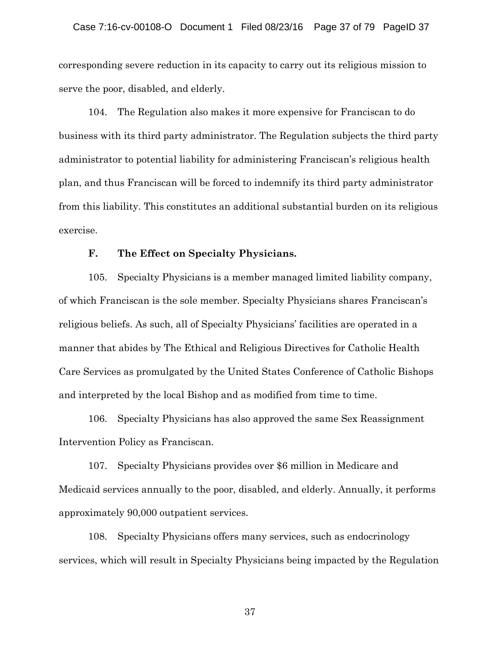corresponding severe reduction in its capacity to carry out its religious mission to serve the poor, disabled, and elderly.

104. The Regulation also makes it more expensive for Franciscan to do business with its third party administrator. The Regulation subjects the third party administrator to potential liability for administering Franciscan's religious health plan, and thus Franciscan will be forced to indemnify its third party administrator from this liability. This constitutes an additional substantial burden on its religious exercise.

## **F. The Effect on Specialty Physicians.**

105. Specialty Physicians is a member managed limited liability company, of which Franciscan is the sole member. Specialty Physicians shares Franciscan's religious beliefs. As such, all of Specialty Physicians' facilities are operated in a manner that abides by The Ethical and Religious Directives for Catholic Health Care Services as promulgated by the United States Conference of Catholic Bishops and interpreted by the local Bishop and as modified from time to time.

106. Specialty Physicians has also approved the same Sex Reassignment Intervention Policy as Franciscan.

107. Specialty Physicians provides over \$6 million in Medicare and Medicaid services annually to the poor, disabled, and elderly. Annually, it performs approximately 90,000 outpatient services.

108. Specialty Physicians offers many services, such as endocrinology services, which will result in Specialty Physicians being impacted by the Regulation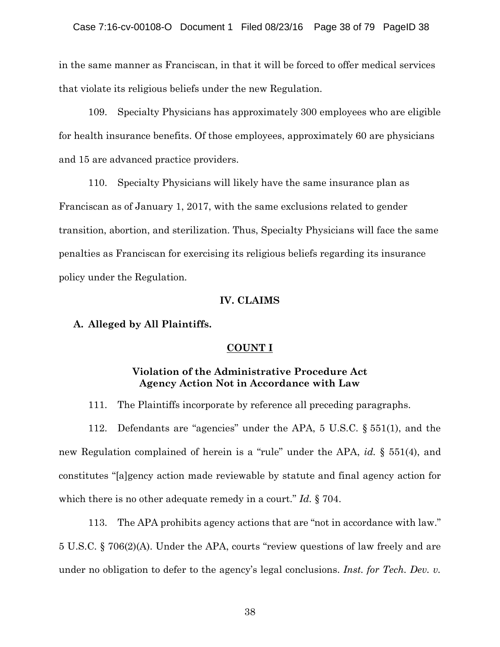in the same manner as Franciscan, in that it will be forced to offer medical services that violate its religious beliefs under the new Regulation.

109. Specialty Physicians has approximately 300 employees who are eligible for health insurance benefits. Of those employees, approximately 60 are physicians and 15 are advanced practice providers.

110. Specialty Physicians will likely have the same insurance plan as Franciscan as of January 1, 2017, with the same exclusions related to gender transition, abortion, and sterilization. Thus, Specialty Physicians will face the same penalties as Franciscan for exercising its religious beliefs regarding its insurance policy under the Regulation.

### **IV. CLAIMS**

### **A. Alleged by All Plaintiffs.**

## **COUNT I**

# **Violation of the Administrative Procedure Act Agency Action Not in Accordance with Law**

111. The Plaintiffs incorporate by reference all preceding paragraphs.

112. Defendants are "agencies" under the APA, 5 U.S.C. § 551(1), and the new Regulation complained of herein is a "rule" under the APA, *id.* § 551(4), and constitutes "[a]gency action made reviewable by statute and final agency action for which there is no other adequate remedy in a court." *Id.* § 704.

113. The APA prohibits agency actions that are "not in accordance with law." 5 U.S.C. § 706(2)(A). Under the APA, courts "review questions of law freely and are under no obligation to defer to the agency's legal conclusions. *Inst. for Tech. Dev. v.*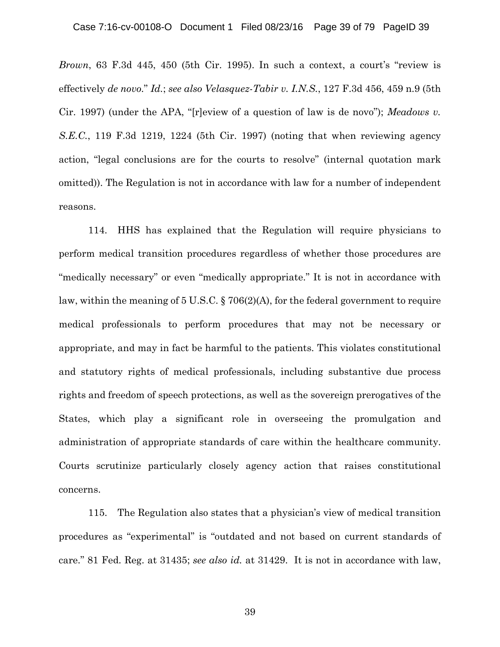*Brown*, 63 F.3d 445, 450 (5th Cir. 1995). In such a context, a court's "review is effectively *de novo*." *Id.*; *see also Velasquez-Tabir v. I.N.S.*, 127 F.3d 456, 459 n.9 (5th Cir. 1997) (under the APA, "[r]eview of a question of law is de novo"); *Meadows v. S.E.C.*, 119 F.3d 1219, 1224 (5th Cir. 1997) (noting that when reviewing agency action, "legal conclusions are for the courts to resolve" (internal quotation mark omitted)). The Regulation is not in accordance with law for a number of independent reasons.

114. HHS has explained that the Regulation will require physicians to perform medical transition procedures regardless of whether those procedures are "medically necessary" or even "medically appropriate." It is not in accordance with law, within the meaning of 5 U.S.C. § 706(2)(A), for the federal government to require medical professionals to perform procedures that may not be necessary or appropriate, and may in fact be harmful to the patients. This violates constitutional and statutory rights of medical professionals, including substantive due process rights and freedom of speech protections, as well as the sovereign prerogatives of the States, which play a significant role in overseeing the promulgation and administration of appropriate standards of care within the healthcare community. Courts scrutinize particularly closely agency action that raises constitutional concerns.

115. The Regulation also states that a physician's view of medical transition procedures as "experimental" is "outdated and not based on current standards of care." 81 Fed. Reg. at 31435; *see also id.* at 31429. It is not in accordance with law,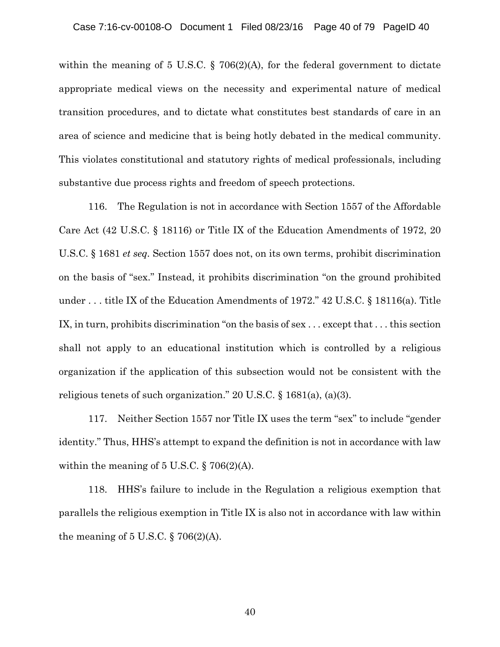within the meaning of 5 U.S.C. § 706(2)(A), for the federal government to dictate appropriate medical views on the necessity and experimental nature of medical transition procedures, and to dictate what constitutes best standards of care in an area of science and medicine that is being hotly debated in the medical community. This violates constitutional and statutory rights of medical professionals, including substantive due process rights and freedom of speech protections.

116. The Regulation is not in accordance with Section 1557 of the Affordable Care Act (42 U.S.C. § 18116) or Title IX of the Education Amendments of 1972, 20 U.S.C. § 1681 *et seq.* Section 1557 does not, on its own terms, prohibit discrimination on the basis of "sex." Instead, it prohibits discrimination "on the ground prohibited under . . . title IX of the Education Amendments of 1972." 42 U.S.C. § 18116(a). Title IX, in turn, prohibits discrimination "on the basis of sex . . . except that . . . this section shall not apply to an educational institution which is controlled by a religious organization if the application of this subsection would not be consistent with the religious tenets of such organization." 20 U.S.C. § 1681(a), (a)(3).

117. Neither Section 1557 nor Title IX uses the term "sex" to include "gender identity." Thus, HHS's attempt to expand the definition is not in accordance with law within the meaning of  $5 \text{ U.S.C.}$  § 706(2)(A).

118. HHS's failure to include in the Regulation a religious exemption that parallels the religious exemption in Title IX is also not in accordance with law within the meaning of  $5 \text{ U.S.C.}$  §  $706(2)(\text{A}).$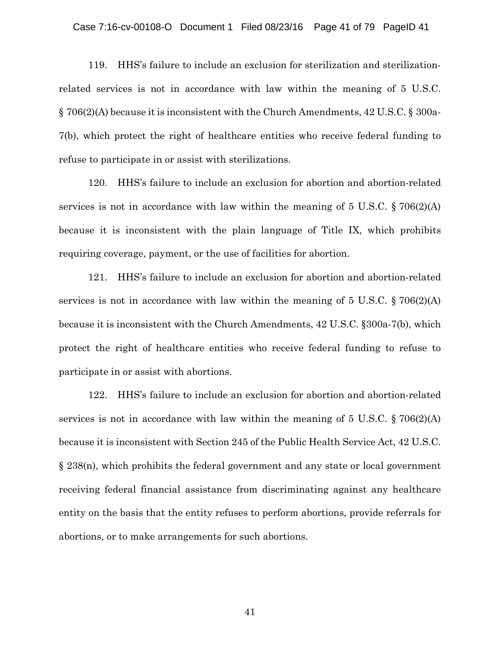#### Case 7:16-cv-00108-O Document 1 Filed 08/23/16 Page 41 of 79 PageID 41

119. HHS's failure to include an exclusion for sterilization and sterilizationrelated services is not in accordance with law within the meaning of 5 U.S.C. § 706(2)(A) because it is inconsistent with the Church Amendments, 42 U.S.C. § 300a-7(b), which protect the right of healthcare entities who receive federal funding to refuse to participate in or assist with sterilizations.

120. HHS's failure to include an exclusion for abortion and abortion-related services is not in accordance with law within the meaning of  $5 \text{ U.S.C.} \S$   $706(2)(\text{A})$ because it is inconsistent with the plain language of Title IX, which prohibits requiring coverage, payment, or the use of facilities for abortion.

121. HHS's failure to include an exclusion for abortion and abortion-related services is not in accordance with law within the meaning of  $5 \text{ U.S.C.} \S$   $706(2)(\text{A})$ because it is inconsistent with the Church Amendments, 42 U.S.C. §300a-7(b), which protect the right of healthcare entities who receive federal funding to refuse to participate in or assist with abortions.

122. HHS's failure to include an exclusion for abortion and abortion-related services is not in accordance with law within the meaning of  $5 \text{ U.S.C.} \S$   $706(2)(\text{A})$ because it is inconsistent with Section 245 of the Public Health Service Act, 42 U.S.C. § 238(n), which prohibits the federal government and any state or local government receiving federal financial assistance from discriminating against any healthcare entity on the basis that the entity refuses to perform abortions, provide referrals for abortions, or to make arrangements for such abortions.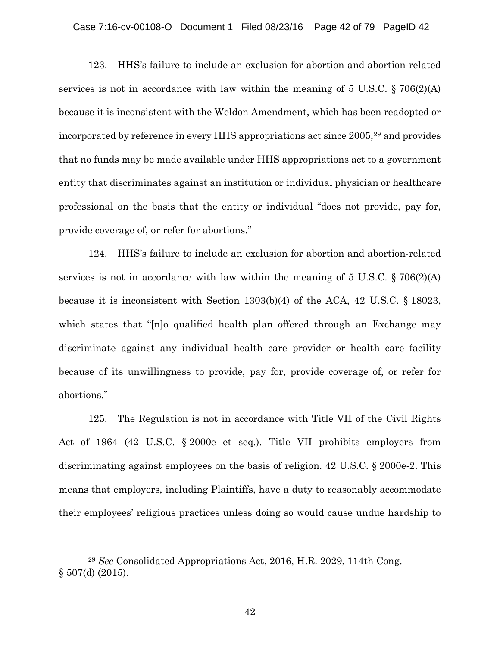#### Case 7:16-cv-00108-O Document 1 Filed 08/23/16 Page 42 of 79 PageID 42

123. HHS's failure to include an exclusion for abortion and abortion-related services is not in accordance with law within the meaning of  $5 \text{ U.S.C.}$   $\S 706(2)(\text{A})$ because it is inconsistent with the Weldon Amendment, which has been readopted or incorporated by reference in every HHS appropriations act since 2005,[29](#page-41-0) and provides that no funds may be made available under HHS appropriations act to a government entity that discriminates against an institution or individual physician or healthcare professional on the basis that the entity or individual "does not provide, pay for, provide coverage of, or refer for abortions."

124. HHS's failure to include an exclusion for abortion and abortion-related services is not in accordance with law within the meaning of  $5 \text{ U.S.C.}$  § 706(2)(A) because it is inconsistent with Section 1303(b)(4) of the ACA, 42 U.S.C. § 18023, which states that "[n]o qualified health plan offered through an Exchange may discriminate against any individual health care provider or health care facility because of its unwillingness to provide, pay for, provide coverage of, or refer for abortions."

125. The Regulation is not in accordance with Title VII of the Civil Rights Act of 1964 (42 U.S.C. § 2000e et seq.). Title VII prohibits employers from discriminating against employees on the basis of religion. 42 U.S.C. § 2000e-2. This means that employers, including Plaintiffs, have a duty to reasonably accommodate their employees' religious practices unless doing so would cause undue hardship to

 $\overline{a}$ 

<span id="page-41-0"></span><sup>29</sup> *See* Consolidated Appropriations Act, 2016, H.R. 2029, 114th Cong. § 507(d) (2015).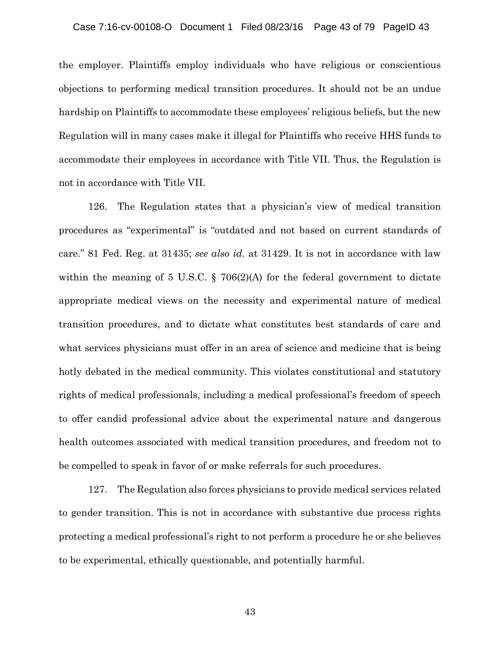the employer. Plaintiffs employ individuals who have religious or conscientious objections to performing medical transition procedures. It should not be an undue hardship on Plaintiffs to accommodate these employees' religious beliefs, but the new Regulation will in many cases make it illegal for Plaintiffs who receive HHS funds to accommodate their employees in accordance with Title VII. Thus, the Regulation is not in accordance with Title VII.

126. The Regulation states that a physician's view of medical transition procedures as "experimental" is "outdated and not based on current standards of care." 81 Fed. Reg. at 31435; *see also id.* at 31429. It is not in accordance with law within the meaning of 5 U.S.C. § 706(2)(A) for the federal government to dictate appropriate medical views on the necessity and experimental nature of medical transition procedures, and to dictate what constitutes best standards of care and what services physicians must offer in an area of science and medicine that is being hotly debated in the medical community. This violates constitutional and statutory rights of medical professionals, including a medical professional's freedom of speech to offer candid professional advice about the experimental nature and dangerous health outcomes associated with medical transition procedures, and freedom not to be compelled to speak in favor of or make referrals for such procedures.

127. The Regulation also forces physicians to provide medical services related to gender transition. This is not in accordance with substantive due process rights protecting a medical professional's right to not perform a procedure he or she believes to be experimental, ethically questionable, and potentially harmful.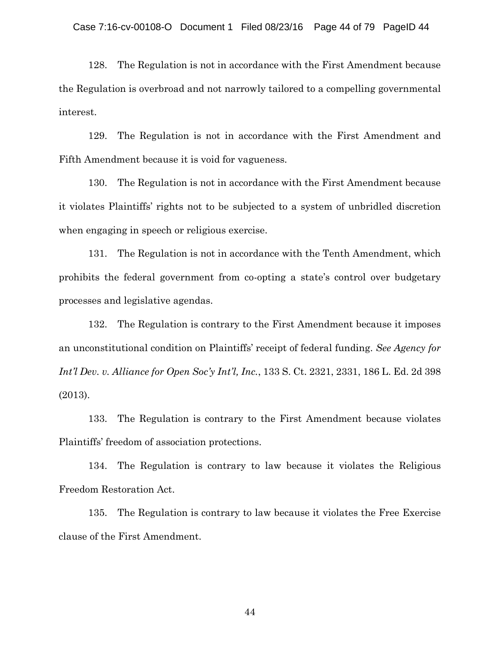128. The Regulation is not in accordance with the First Amendment because the Regulation is overbroad and not narrowly tailored to a compelling governmental interest.

129. The Regulation is not in accordance with the First Amendment and Fifth Amendment because it is void for vagueness.

130. The Regulation is not in accordance with the First Amendment because it violates Plaintiffs' rights not to be subjected to a system of unbridled discretion when engaging in speech or religious exercise.

131. The Regulation is not in accordance with the Tenth Amendment, which prohibits the federal government from co-opting a state's control over budgetary processes and legislative agendas.

132. The Regulation is contrary to the First Amendment because it imposes an unconstitutional condition on Plaintiffs' receipt of federal funding. *See Agency for Int'l Dev. v. Alliance for Open Soc'y Int'l, Inc.*, 133 S. Ct. 2321, 2331, 186 L. Ed. 2d 398 (2013).

133. The Regulation is contrary to the First Amendment because violates Plaintiffs' freedom of association protections.

134. The Regulation is contrary to law because it violates the Religious Freedom Restoration Act.

135. The Regulation is contrary to law because it violates the Free Exercise clause of the First Amendment.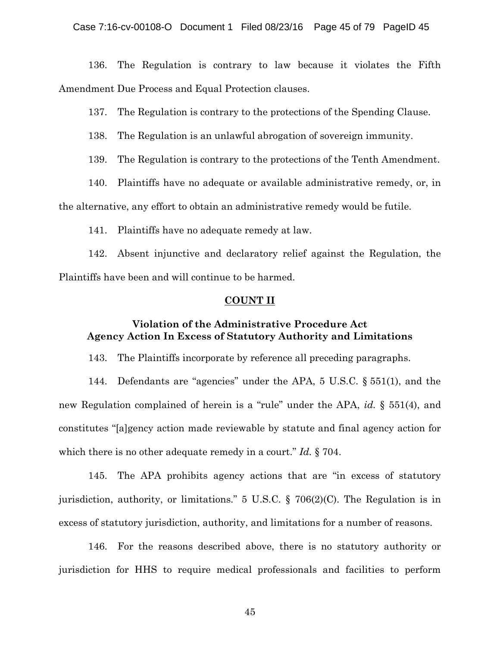## Case 7:16-cv-00108-O Document 1 Filed 08/23/16 Page 45 of 79 PageID 45

136. The Regulation is contrary to law because it violates the Fifth Amendment Due Process and Equal Protection clauses.

137. The Regulation is contrary to the protections of the Spending Clause.

138. The Regulation is an unlawful abrogation of sovereign immunity.

139. The Regulation is contrary to the protections of the Tenth Amendment.

140. Plaintiffs have no adequate or available administrative remedy, or, in

the alternative, any effort to obtain an administrative remedy would be futile.

141. Plaintiffs have no adequate remedy at law.

142. Absent injunctive and declaratory relief against the Regulation, the Plaintiffs have been and will continue to be harmed.

### **COUNT II**

# **Violation of the Administrative Procedure Act Agency Action In Excess of Statutory Authority and Limitations**

143. The Plaintiffs incorporate by reference all preceding paragraphs.

144. Defendants are "agencies" under the APA, 5 U.S.C. § 551(1), and the new Regulation complained of herein is a "rule" under the APA, *id.* § 551(4), and constitutes "[a]gency action made reviewable by statute and final agency action for which there is no other adequate remedy in a court." *Id.* § 704.

145. The APA prohibits agency actions that are "in excess of statutory jurisdiction, authority, or limitations." 5 U.S.C. § 706(2)(C). The Regulation is in excess of statutory jurisdiction, authority, and limitations for a number of reasons.

146. For the reasons described above, there is no statutory authority or jurisdiction for HHS to require medical professionals and facilities to perform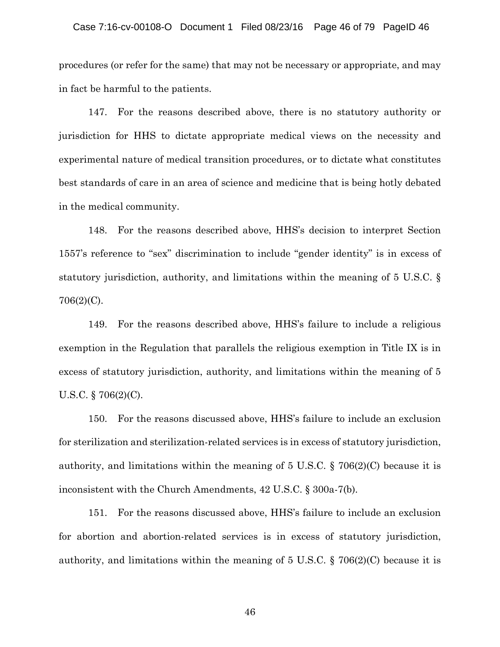#### Case 7:16-cv-00108-O Document 1 Filed 08/23/16 Page 46 of 79 PageID 46

procedures (or refer for the same) that may not be necessary or appropriate, and may in fact be harmful to the patients.

147. For the reasons described above, there is no statutory authority or jurisdiction for HHS to dictate appropriate medical views on the necessity and experimental nature of medical transition procedures, or to dictate what constitutes best standards of care in an area of science and medicine that is being hotly debated in the medical community.

148. For the reasons described above, HHS's decision to interpret Section 1557's reference to "sex" discrimination to include "gender identity" is in excess of statutory jurisdiction, authority, and limitations within the meaning of 5 U.S.C. § 706(2)(C).

149. For the reasons described above, HHS's failure to include a religious exemption in the Regulation that parallels the religious exemption in Title IX is in excess of statutory jurisdiction, authority, and limitations within the meaning of 5 U.S.C. § 706(2)(C).

150. For the reasons discussed above, HHS's failure to include an exclusion for sterilization and sterilization-related services is in excess of statutory jurisdiction, authority, and limitations within the meaning of 5 U.S.C. § 706(2)(C) because it is inconsistent with the Church Amendments, 42 U.S.C. § 300a-7(b).

151. For the reasons discussed above, HHS's failure to include an exclusion for abortion and abortion-related services is in excess of statutory jurisdiction, authority, and limitations within the meaning of 5 U.S.C. § 706(2)(C) because it is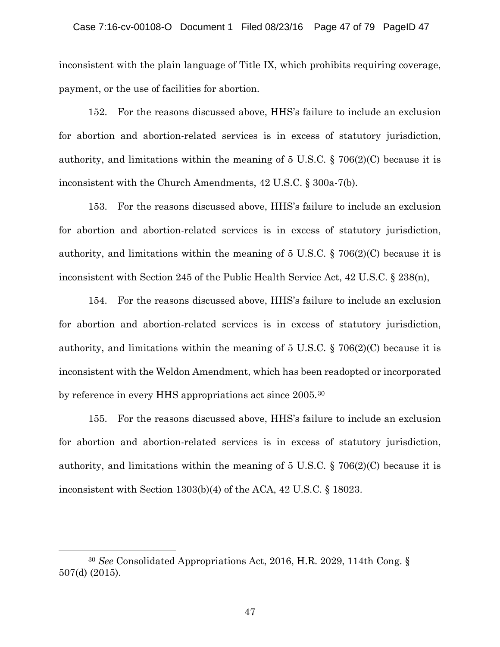inconsistent with the plain language of Title IX, which prohibits requiring coverage, payment, or the use of facilities for abortion.

152. For the reasons discussed above, HHS's failure to include an exclusion for abortion and abortion-related services is in excess of statutory jurisdiction, authority, and limitations within the meaning of  $5 \text{ U.S.C.}$  § 706(2)(C) because it is inconsistent with the Church Amendments, 42 U.S.C. § 300a-7(b).

153. For the reasons discussed above, HHS's failure to include an exclusion for abortion and abortion-related services is in excess of statutory jurisdiction, authority, and limitations within the meaning of 5 U.S.C. § 706(2)(C) because it is inconsistent with Section 245 of the Public Health Service Act, 42 U.S.C. § 238(n),

154. For the reasons discussed above, HHS's failure to include an exclusion for abortion and abortion-related services is in excess of statutory jurisdiction, authority, and limitations within the meaning of 5 U.S.C. § 706(2)(C) because it is inconsistent with the Weldon Amendment, which has been readopted or incorporated by reference in every HHS appropriations act since 2005. [30](#page-46-0)

155. For the reasons discussed above, HHS's failure to include an exclusion for abortion and abortion-related services is in excess of statutory jurisdiction, authority, and limitations within the meaning of 5 U.S.C. § 706(2)(C) because it is inconsistent with Section 1303(b)(4) of the ACA, 42 U.S.C. § 18023.

 $\overline{a}$ 

<span id="page-46-0"></span><sup>30</sup> *See* Consolidated Appropriations Act, 2016, H.R. 2029, 114th Cong. § 507(d) (2015).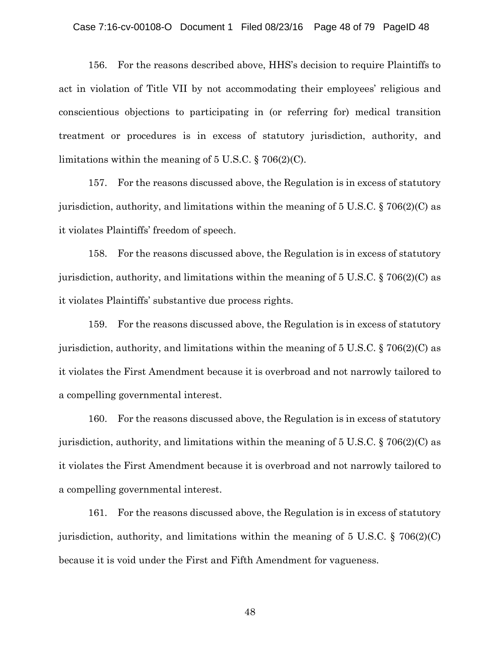#### Case 7:16-cv-00108-O Document 1 Filed 08/23/16 Page 48 of 79 PageID 48

156. For the reasons described above, HHS's decision to require Plaintiffs to act in violation of Title VII by not accommodating their employees' religious and conscientious objections to participating in (or referring for) medical transition treatment or procedures is in excess of statutory jurisdiction, authority, and limitations within the meaning of 5 U.S.C. § 706(2)(C).

157. For the reasons discussed above, the Regulation is in excess of statutory jurisdiction, authority, and limitations within the meaning of 5 U.S.C. § 706(2)(C) as it violates Plaintiffs' freedom of speech.

158. For the reasons discussed above, the Regulation is in excess of statutory jurisdiction, authority, and limitations within the meaning of 5 U.S.C. § 706(2)(C) as it violates Plaintiffs' substantive due process rights.

159. For the reasons discussed above, the Regulation is in excess of statutory jurisdiction, authority, and limitations within the meaning of 5 U.S.C. § 706(2)(C) as it violates the First Amendment because it is overbroad and not narrowly tailored to a compelling governmental interest.

160. For the reasons discussed above, the Regulation is in excess of statutory jurisdiction, authority, and limitations within the meaning of 5 U.S.C. § 706(2)(C) as it violates the First Amendment because it is overbroad and not narrowly tailored to a compelling governmental interest.

161. For the reasons discussed above, the Regulation is in excess of statutory jurisdiction, authority, and limitations within the meaning of 5 U.S.C. § 706(2)(C) because it is void under the First and Fifth Amendment for vagueness.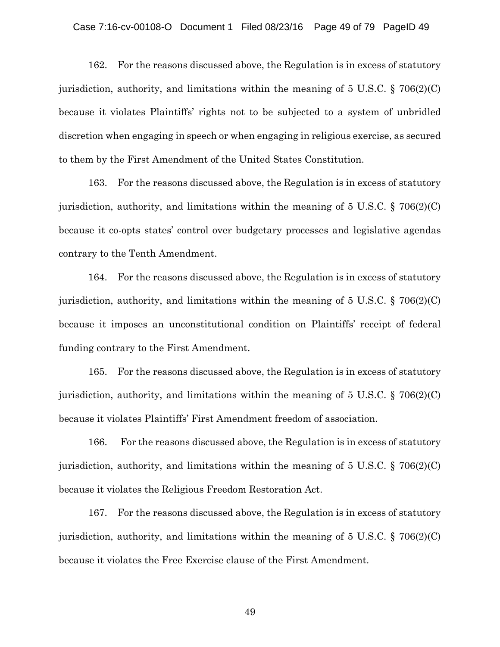### Case 7:16-cv-00108-O Document 1 Filed 08/23/16 Page 49 of 79 PageID 49

162. For the reasons discussed above, the Regulation is in excess of statutory jurisdiction, authority, and limitations within the meaning of  $5 \text{ U.S.C.}$  § 706(2)(C) because it violates Plaintiffs' rights not to be subjected to a system of unbridled discretion when engaging in speech or when engaging in religious exercise, as secured to them by the First Amendment of the United States Constitution.

163. For the reasons discussed above, the Regulation is in excess of statutory jurisdiction, authority, and limitations within the meaning of  $5 \text{ U.S.C.}$  §  $706(2)(\text{C})$ because it co-opts states' control over budgetary processes and legislative agendas contrary to the Tenth Amendment.

164. For the reasons discussed above, the Regulation is in excess of statutory jurisdiction, authority, and limitations within the meaning of  $5 \text{ U.S.C.}$  §  $706(2)(\text{C})$ because it imposes an unconstitutional condition on Plaintiffs' receipt of federal funding contrary to the First Amendment.

165. For the reasons discussed above, the Regulation is in excess of statutory jurisdiction, authority, and limitations within the meaning of 5 U.S.C. § 706(2)(C) because it violates Plaintiffs' First Amendment freedom of association.

166. For the reasons discussed above, the Regulation is in excess of statutory jurisdiction, authority, and limitations within the meaning of 5 U.S.C. § 706(2)(C) because it violates the Religious Freedom Restoration Act.

167. For the reasons discussed above, the Regulation is in excess of statutory jurisdiction, authority, and limitations within the meaning of 5 U.S.C. § 706(2)(C) because it violates the Free Exercise clause of the First Amendment.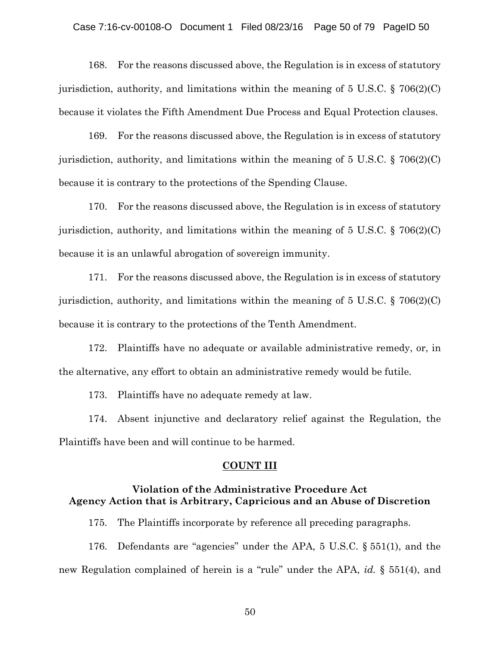#### Case 7:16-cv-00108-O Document 1 Filed 08/23/16 Page 50 of 79 PageID 50

168. For the reasons discussed above, the Regulation is in excess of statutory jurisdiction, authority, and limitations within the meaning of  $5 \text{ U.S.C.}$  § 706(2)(C) because it violates the Fifth Amendment Due Process and Equal Protection clauses.

169. For the reasons discussed above, the Regulation is in excess of statutory jurisdiction, authority, and limitations within the meaning of  $5 \text{ U.S.C.}$  § 706(2)(C) because it is contrary to the protections of the Spending Clause.

170. For the reasons discussed above, the Regulation is in excess of statutory jurisdiction, authority, and limitations within the meaning of  $5 \text{ U.S.C.}$  § 706(2)(C) because it is an unlawful abrogation of sovereign immunity.

171. For the reasons discussed above, the Regulation is in excess of statutory jurisdiction, authority, and limitations within the meaning of  $5 \text{ U.S.C.}$  §  $706(2)(\text{C})$ because it is contrary to the protections of the Tenth Amendment.

172. Plaintiffs have no adequate or available administrative remedy, or, in the alternative, any effort to obtain an administrative remedy would be futile.

173. Plaintiffs have no adequate remedy at law.

174. Absent injunctive and declaratory relief against the Regulation, the Plaintiffs have been and will continue to be harmed.

### **COUNT III**

# **Violation of the Administrative Procedure Act Agency Action that is Arbitrary, Capricious and an Abuse of Discretion**

175. The Plaintiffs incorporate by reference all preceding paragraphs.

176. Defendants are "agencies" under the APA, 5 U.S.C. § 551(1), and the new Regulation complained of herein is a "rule" under the APA, *id.* § 551(4), and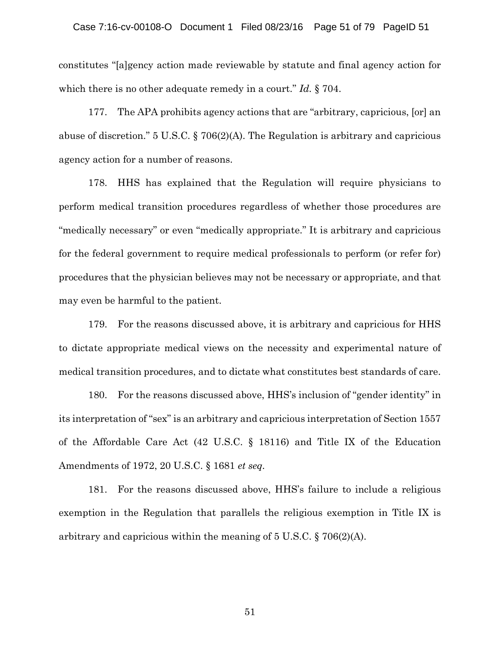constitutes "[a]gency action made reviewable by statute and final agency action for which there is no other adequate remedy in a court." *Id.* § 704.

177. The APA prohibits agency actions that are "arbitrary, capricious, [or] an abuse of discretion." 5 U.S.C. § 706(2)(A). The Regulation is arbitrary and capricious agency action for a number of reasons.

178. HHS has explained that the Regulation will require physicians to perform medical transition procedures regardless of whether those procedures are "medically necessary" or even "medically appropriate." It is arbitrary and capricious for the federal government to require medical professionals to perform (or refer for) procedures that the physician believes may not be necessary or appropriate, and that may even be harmful to the patient.

179. For the reasons discussed above, it is arbitrary and capricious for HHS to dictate appropriate medical views on the necessity and experimental nature of medical transition procedures, and to dictate what constitutes best standards of care.

180. For the reasons discussed above, HHS's inclusion of "gender identity" in its interpretation of "sex" is an arbitrary and capricious interpretation of Section 1557 of the Affordable Care Act (42 U.S.C. § 18116) and Title IX of the Education Amendments of 1972, 20 U.S.C. § 1681 *et seq.* 

181. For the reasons discussed above, HHS's failure to include a religious exemption in the Regulation that parallels the religious exemption in Title IX is arbitrary and capricious within the meaning of 5 U.S.C. § 706(2)(A).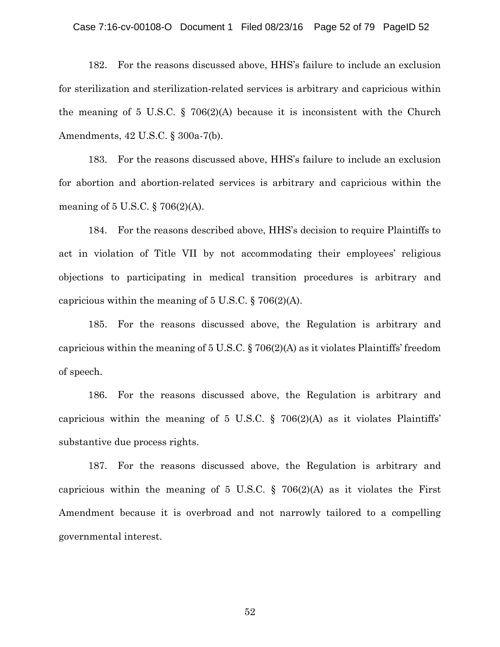#### Case 7:16-cv-00108-O Document 1 Filed 08/23/16 Page 52 of 79 PageID 52

182. For the reasons discussed above, HHS's failure to include an exclusion for sterilization and sterilization-related services is arbitrary and capricious within the meaning of 5 U.S.C.  $\S$  706(2)(A) because it is inconsistent with the Church Amendments, 42 U.S.C. § 300a-7(b).

183. For the reasons discussed above, HHS's failure to include an exclusion for abortion and abortion-related services is arbitrary and capricious within the meaning of 5 U.S.C. § 706(2)(A).

184. For the reasons described above, HHS's decision to require Plaintiffs to act in violation of Title VII by not accommodating their employees' religious objections to participating in medical transition procedures is arbitrary and capricious within the meaning of  $5 \text{ U.S.C.}$  §  $706(2)(\text{A})$ .

185. For the reasons discussed above, the Regulation is arbitrary and capricious within the meaning of 5 U.S.C. § 706(2)(A) as it violates Plaintiffs' freedom of speech.

186. For the reasons discussed above, the Regulation is arbitrary and capricious within the meaning of 5 U.S.C.  $\S$  706(2)(A) as it violates Plaintiffs' substantive due process rights.

187. For the reasons discussed above, the Regulation is arbitrary and capricious within the meaning of 5 U.S.C. § 706(2)(A) as it violates the First Amendment because it is overbroad and not narrowly tailored to a compelling governmental interest.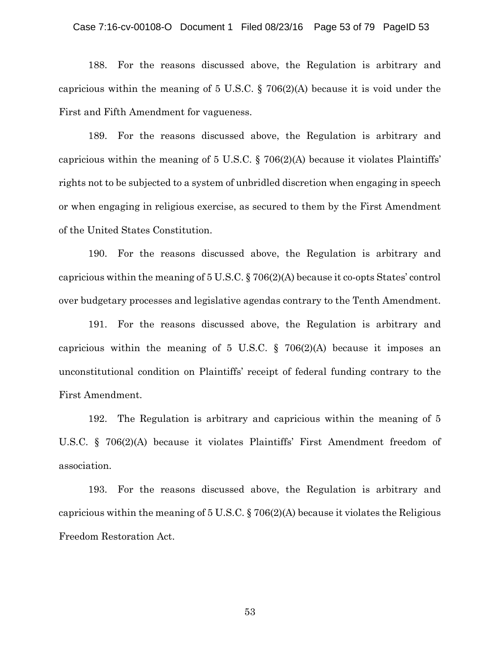#### Case 7:16-cv-00108-O Document 1 Filed 08/23/16 Page 53 of 79 PageID 53

188. For the reasons discussed above, the Regulation is arbitrary and capricious within the meaning of 5 U.S.C. § 706(2)(A) because it is void under the First and Fifth Amendment for vagueness.

189. For the reasons discussed above, the Regulation is arbitrary and capricious within the meaning of 5 U.S.C. § 706(2)(A) because it violates Plaintiffs' rights not to be subjected to a system of unbridled discretion when engaging in speech or when engaging in religious exercise, as secured to them by the First Amendment of the United States Constitution.

190. For the reasons discussed above, the Regulation is arbitrary and capricious within the meaning of 5 U.S.C. § 706(2)(A) because it co-opts States' control over budgetary processes and legislative agendas contrary to the Tenth Amendment.

191. For the reasons discussed above, the Regulation is arbitrary and capricious within the meaning of 5 U.S.C.  $\S$  706(2)(A) because it imposes an unconstitutional condition on Plaintiffs' receipt of federal funding contrary to the First Amendment.

192. The Regulation is arbitrary and capricious within the meaning of 5 U.S.C. § 706(2)(A) because it violates Plaintiffs' First Amendment freedom of association.

193. For the reasons discussed above, the Regulation is arbitrary and capricious within the meaning of  $5 \text{ U.S. C. }$  §  $706(2)(\text{A})$  because it violates the Religious Freedom Restoration Act.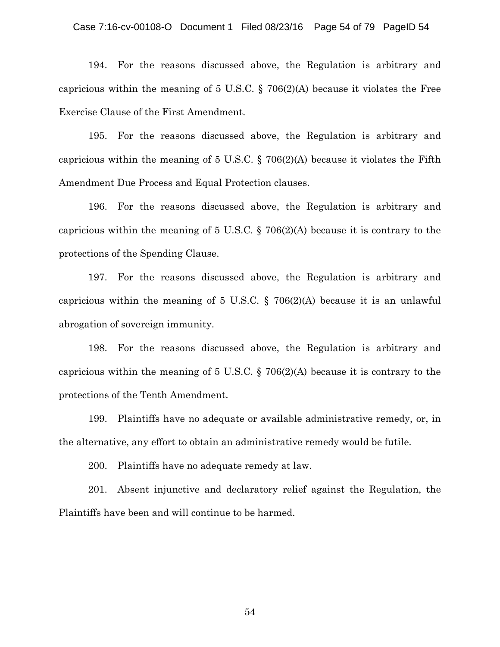### Case 7:16-cv-00108-O Document 1 Filed 08/23/16 Page 54 of 79 PageID 54

194. For the reasons discussed above, the Regulation is arbitrary and capricious within the meaning of 5 U.S.C. § 706(2)(A) because it violates the Free Exercise Clause of the First Amendment.

195. For the reasons discussed above, the Regulation is arbitrary and capricious within the meaning of 5 U.S.C. § 706(2)(A) because it violates the Fifth Amendment Due Process and Equal Protection clauses.

196. For the reasons discussed above, the Regulation is arbitrary and capricious within the meaning of 5 U.S.C. § 706(2)(A) because it is contrary to the protections of the Spending Clause.

197. For the reasons discussed above, the Regulation is arbitrary and capricious within the meaning of 5 U.S.C. § 706(2)(A) because it is an unlawful abrogation of sovereign immunity.

198. For the reasons discussed above, the Regulation is arbitrary and capricious within the meaning of 5 U.S.C. § 706(2)(A) because it is contrary to the protections of the Tenth Amendment.

199. Plaintiffs have no adequate or available administrative remedy, or, in the alternative, any effort to obtain an administrative remedy would be futile.

200. Plaintiffs have no adequate remedy at law.

201. Absent injunctive and declaratory relief against the Regulation, the Plaintiffs have been and will continue to be harmed.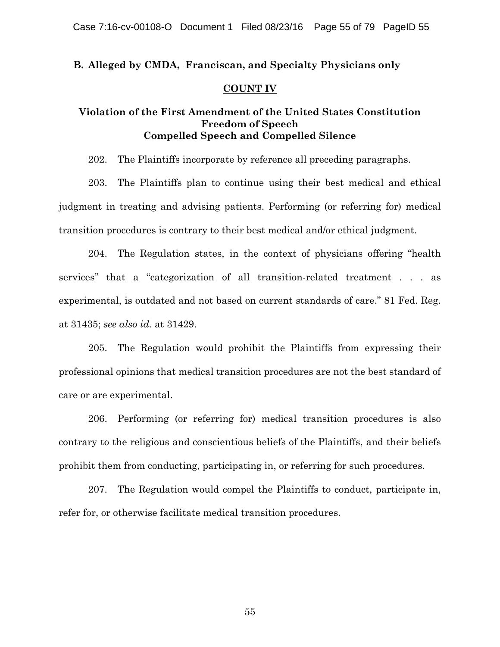## **B. Alleged by CMDA, Franciscan, and Specialty Physicians only**

## **COUNT IV**

# **Violation of the First Amendment of the United States Constitution Freedom of Speech Compelled Speech and Compelled Silence**

202. The Plaintiffs incorporate by reference all preceding paragraphs.

203. The Plaintiffs plan to continue using their best medical and ethical judgment in treating and advising patients. Performing (or referring for) medical transition procedures is contrary to their best medical and/or ethical judgment.

204. The Regulation states, in the context of physicians offering "health services" that a "categorization of all transition-related treatment . . . as experimental, is outdated and not based on current standards of care." 81 Fed. Reg. at 31435; *see also id.* at 31429.

205. The Regulation would prohibit the Plaintiffs from expressing their professional opinions that medical transition procedures are not the best standard of care or are experimental.

206. Performing (or referring for) medical transition procedures is also contrary to the religious and conscientious beliefs of the Plaintiffs, and their beliefs prohibit them from conducting, participating in, or referring for such procedures.

207. The Regulation would compel the Plaintiffs to conduct, participate in, refer for, or otherwise facilitate medical transition procedures.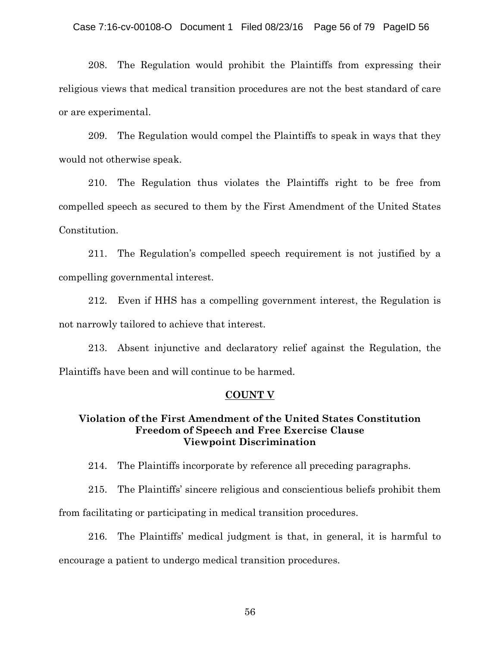208. The Regulation would prohibit the Plaintiffs from expressing their religious views that medical transition procedures are not the best standard of care or are experimental.

209. The Regulation would compel the Plaintiffs to speak in ways that they would not otherwise speak.

210. The Regulation thus violates the Plaintiffs right to be free from compelled speech as secured to them by the First Amendment of the United States Constitution.

211. The Regulation's compelled speech requirement is not justified by a compelling governmental interest.

212. Even if HHS has a compelling government interest, the Regulation is not narrowly tailored to achieve that interest.

213. Absent injunctive and declaratory relief against the Regulation, the Plaintiffs have been and will continue to be harmed.

### **COUNT V**

# **Violation of the First Amendment of the United States Constitution Freedom of Speech and Free Exercise Clause Viewpoint Discrimination**

214. The Plaintiffs incorporate by reference all preceding paragraphs.

215. The Plaintiffs' sincere religious and conscientious beliefs prohibit them from facilitating or participating in medical transition procedures.

216. The Plaintiffs' medical judgment is that, in general, it is harmful to encourage a patient to undergo medical transition procedures.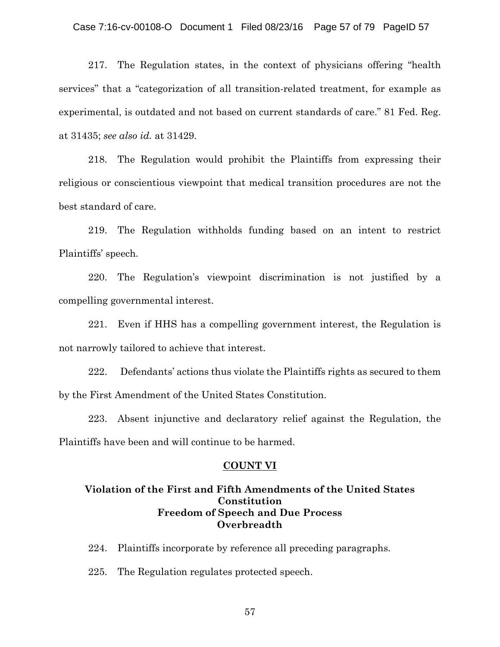### Case 7:16-cv-00108-O Document 1 Filed 08/23/16 Page 57 of 79 PageID 57

217. The Regulation states, in the context of physicians offering "health services" that a "categorization of all transition-related treatment, for example as experimental, is outdated and not based on current standards of care." 81 Fed. Reg. at 31435; *see also id.* at 31429.

218. The Regulation would prohibit the Plaintiffs from expressing their religious or conscientious viewpoint that medical transition procedures are not the best standard of care.

219. The Regulation withholds funding based on an intent to restrict Plaintiffs' speech.

220. The Regulation's viewpoint discrimination is not justified by a compelling governmental interest.

221. Even if HHS has a compelling government interest, the Regulation is not narrowly tailored to achieve that interest.

222. Defendants' actions thus violate the Plaintiffs rights as secured to them by the First Amendment of the United States Constitution.

223. Absent injunctive and declaratory relief against the Regulation, the Plaintiffs have been and will continue to be harmed.

### **COUNT VI**

## **Violation of the First and Fifth Amendments of the United States Constitution Freedom of Speech and Due Process Overbreadth**

224. Plaintiffs incorporate by reference all preceding paragraphs.

225. The Regulation regulates protected speech.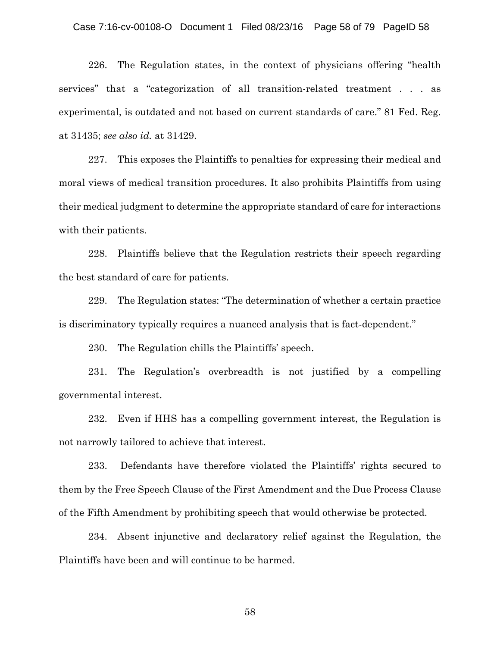#### Case 7:16-cv-00108-O Document 1 Filed 08/23/16 Page 58 of 79 PageID 58

226. The Regulation states, in the context of physicians offering "health services" that a "categorization of all transition-related treatment . . . as experimental, is outdated and not based on current standards of care." 81 Fed. Reg. at 31435; *see also id.* at 31429.

227. This exposes the Plaintiffs to penalties for expressing their medical and moral views of medical transition procedures. It also prohibits Plaintiffs from using their medical judgment to determine the appropriate standard of care for interactions with their patients.

228. Plaintiffs believe that the Regulation restricts their speech regarding the best standard of care for patients.

229. The Regulation states: "The determination of whether a certain practice is discriminatory typically requires a nuanced analysis that is fact-dependent."

230. The Regulation chills the Plaintiffs' speech.

231. The Regulation's overbreadth is not justified by a compelling governmental interest.

232. Even if HHS has a compelling government interest, the Regulation is not narrowly tailored to achieve that interest.

233. Defendants have therefore violated the Plaintiffs' rights secured to them by the Free Speech Clause of the First Amendment and the Due Process Clause of the Fifth Amendment by prohibiting speech that would otherwise be protected.

234. Absent injunctive and declaratory relief against the Regulation, the Plaintiffs have been and will continue to be harmed.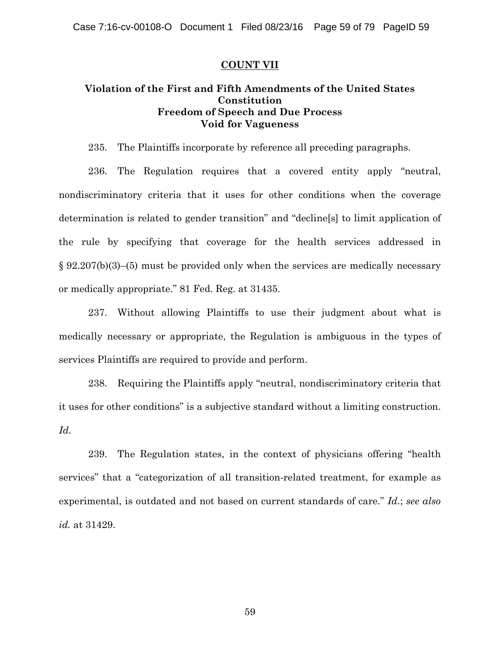### **COUNT VII**

# **Violation of the First and Fifth Amendments of the United States Constitution Freedom of Speech and Due Process Void for Vagueness**

235. The Plaintiffs incorporate by reference all preceding paragraphs.

236. The Regulation requires that a covered entity apply "neutral, nondiscriminatory criteria that it uses for other conditions when the coverage determination is related to gender transition" and "decline[s] to limit application of the rule by specifying that coverage for the health services addressed in § 92.207(b)(3)–(5) must be provided only when the services are medically necessary or medically appropriate." 81 Fed. Reg. at 31435.

237. Without allowing Plaintiffs to use their judgment about what is medically necessary or appropriate, the Regulation is ambiguous in the types of services Plaintiffs are required to provide and perform.

238. Requiring the Plaintiffs apply "neutral, nondiscriminatory criteria that it uses for other conditions" is a subjective standard without a limiting construction. *Id.*

239. The Regulation states, in the context of physicians offering "health services" that a "categorization of all transition-related treatment, for example as experimental, is outdated and not based on current standards of care." *Id.*; *see also id.* at 31429.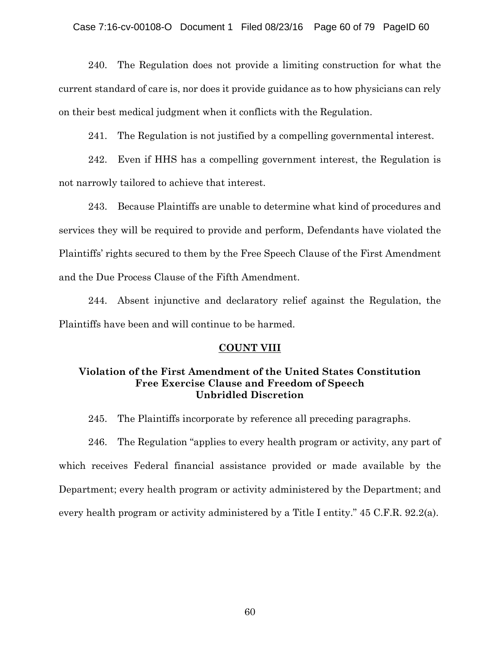## Case 7:16-cv-00108-O Document 1 Filed 08/23/16 Page 60 of 79 PageID 60

240. The Regulation does not provide a limiting construction for what the current standard of care is, nor does it provide guidance as to how physicians can rely on their best medical judgment when it conflicts with the Regulation.

241. The Regulation is not justified by a compelling governmental interest.

242. Even if HHS has a compelling government interest, the Regulation is not narrowly tailored to achieve that interest.

243. Because Plaintiffs are unable to determine what kind of procedures and services they will be required to provide and perform, Defendants have violated the Plaintiffs' rights secured to them by the Free Speech Clause of the First Amendment and the Due Process Clause of the Fifth Amendment.

244. Absent injunctive and declaratory relief against the Regulation, the Plaintiffs have been and will continue to be harmed.

#### **COUNT VIII**

# **Violation of the First Amendment of the United States Constitution Free Exercise Clause and Freedom of Speech Unbridled Discretion**

245. The Plaintiffs incorporate by reference all preceding paragraphs.

246. The Regulation "applies to every health program or activity, any part of which receives Federal financial assistance provided or made available by the Department; every health program or activity administered by the Department; and every health program or activity administered by a Title I entity." 45 C.F.R. 92.2(a).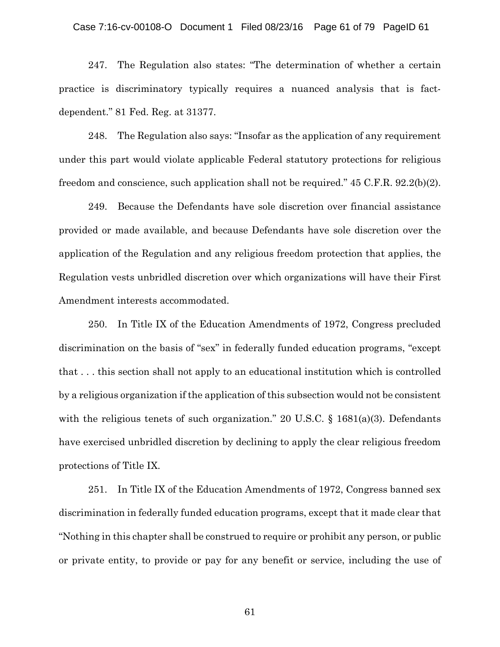#### Case 7:16-cv-00108-O Document 1 Filed 08/23/16 Page 61 of 79 PageID 61

247. The Regulation also states: "The determination of whether a certain practice is discriminatory typically requires a nuanced analysis that is factdependent." 81 Fed. Reg. at 31377.

248. The Regulation also says: "Insofar as the application of any requirement under this part would violate applicable Federal statutory protections for religious freedom and conscience, such application shall not be required." 45 C.F.R. 92.2(b)(2).

249. Because the Defendants have sole discretion over financial assistance provided or made available, and because Defendants have sole discretion over the application of the Regulation and any religious freedom protection that applies, the Regulation vests unbridled discretion over which organizations will have their First Amendment interests accommodated.

250. In Title IX of the Education Amendments of 1972, Congress precluded discrimination on the basis of "sex" in federally funded education programs, "except that . . . this section shall not apply to an educational institution which is controlled by a religious organization if the application of this subsection would not be consistent with the religious tenets of such organization." 20 U.S.C.  $\S$  1681(a)(3). Defendants have exercised unbridled discretion by declining to apply the clear religious freedom protections of Title IX.

251. In Title IX of the Education Amendments of 1972, Congress banned sex discrimination in federally funded education programs, except that it made clear that "Nothing in this chapter shall be construed to require or prohibit any person, or public or private entity, to provide or pay for any benefit or service, including the use of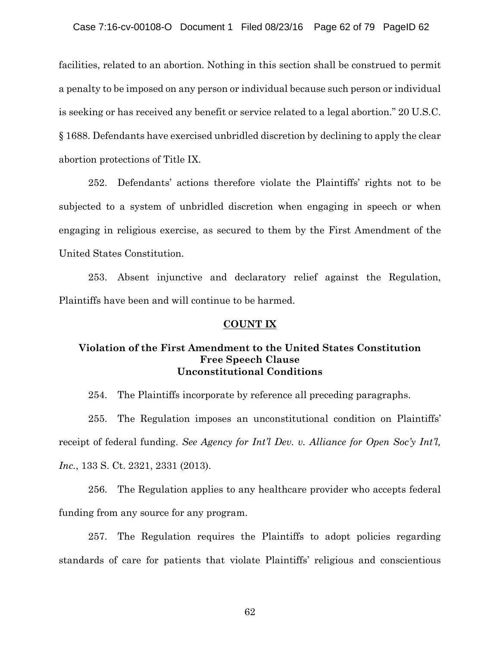facilities, related to an abortion. Nothing in this section shall be construed to permit a penalty to be imposed on any person or individual because such person or individual is seeking or has received any benefit or service related to a legal abortion." 20 U.S.C. § 1688. Defendants have exercised unbridled discretion by declining to apply the clear abortion protections of Title IX.

252. Defendants' actions therefore violate the Plaintiffs' rights not to be subjected to a system of unbridled discretion when engaging in speech or when engaging in religious exercise, as secured to them by the First Amendment of the United States Constitution.

253. Absent injunctive and declaratory relief against the Regulation, Plaintiffs have been and will continue to be harmed.

## **COUNT IX**

## **Violation of the First Amendment to the United States Constitution Free Speech Clause Unconstitutional Conditions**

254. The Plaintiffs incorporate by reference all preceding paragraphs.

255. The Regulation imposes an unconstitutional condition on Plaintiffs' receipt of federal funding. *See Agency for Int'l Dev. v. Alliance for Open Soc'y Int'l, Inc.*, 133 S. Ct. 2321, 2331 (2013).

256. The Regulation applies to any healthcare provider who accepts federal funding from any source for any program.

257. The Regulation requires the Plaintiffs to adopt policies regarding standards of care for patients that violate Plaintiffs' religious and conscientious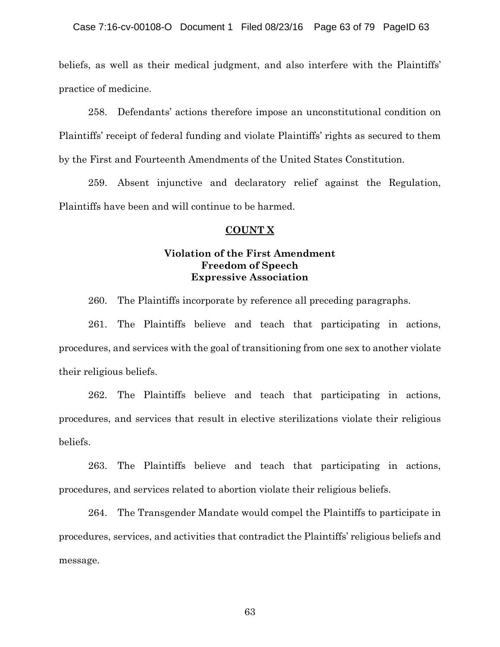beliefs, as well as their medical judgment, and also interfere with the Plaintiffs' practice of medicine.

258. Defendants' actions therefore impose an unconstitutional condition on Plaintiffs' receipt of federal funding and violate Plaintiffs' rights as secured to them by the First and Fourteenth Amendments of the United States Constitution.

259. Absent injunctive and declaratory relief against the Regulation, Plaintiffs have been and will continue to be harmed.

### **COUNT X**

# **Violation of the First Amendment Freedom of Speech Expressive Association**

260. The Plaintiffs incorporate by reference all preceding paragraphs.

261. The Plaintiffs believe and teach that participating in actions, procedures, and services with the goal of transitioning from one sex to another violate their religious beliefs.

262. The Plaintiffs believe and teach that participating in actions, procedures, and services that result in elective sterilizations violate their religious beliefs.

263. The Plaintiffs believe and teach that participating in actions, procedures, and services related to abortion violate their religious beliefs.

264. The Transgender Mandate would compel the Plaintiffs to participate in procedures, services, and activities that contradict the Plaintiffs' religious beliefs and message.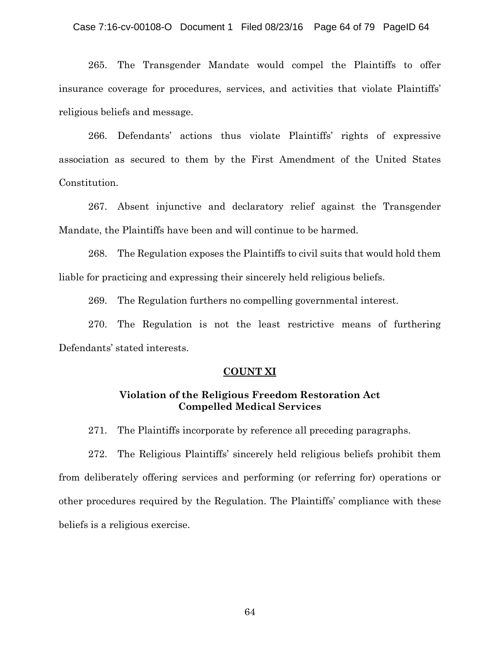### Case 7:16-cv-00108-O Document 1 Filed 08/23/16 Page 64 of 79 PageID 64

265. The Transgender Mandate would compel the Plaintiffs to offer insurance coverage for procedures, services, and activities that violate Plaintiffs' religious beliefs and message.

266. Defendants' actions thus violate Plaintiffs' rights of expressive association as secured to them by the First Amendment of the United States Constitution.

267. Absent injunctive and declaratory relief against the Transgender Mandate, the Plaintiffs have been and will continue to be harmed.

268. The Regulation exposes the Plaintiffs to civil suits that would hold them liable for practicing and expressing their sincerely held religious beliefs.

269. The Regulation furthers no compelling governmental interest.

270. The Regulation is not the least restrictive means of furthering Defendants' stated interests.

#### **COUNT XI**

## **Violation of the Religious Freedom Restoration Act Compelled Medical Services**

271. The Plaintiffs incorporate by reference all preceding paragraphs.

272. The Religious Plaintiffs' sincerely held religious beliefs prohibit them from deliberately offering services and performing (or referring for) operations or other procedures required by the Regulation. The Plaintiffs' compliance with these beliefs is a religious exercise.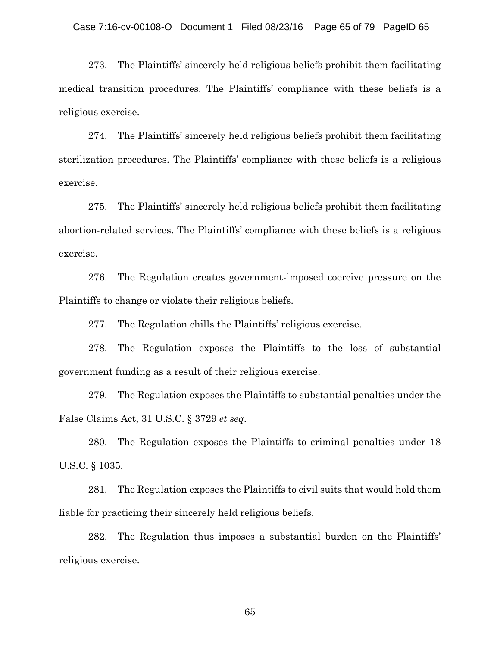273. The Plaintiffs' sincerely held religious beliefs prohibit them facilitating medical transition procedures. The Plaintiffs' compliance with these beliefs is a religious exercise.

274. The Plaintiffs' sincerely held religious beliefs prohibit them facilitating sterilization procedures. The Plaintiffs' compliance with these beliefs is a religious exercise.

275. The Plaintiffs' sincerely held religious beliefs prohibit them facilitating abortion-related services. The Plaintiffs' compliance with these beliefs is a religious exercise.

276. The Regulation creates government-imposed coercive pressure on the Plaintiffs to change or violate their religious beliefs.

277. The Regulation chills the Plaintiffs' religious exercise.

278. The Regulation exposes the Plaintiffs to the loss of substantial government funding as a result of their religious exercise.

279. The Regulation exposes the Plaintiffs to substantial penalties under the False Claims Act, 31 U.S.C. § 3729 *et seq*.

280. The Regulation exposes the Plaintiffs to criminal penalties under 18 U.S.C. § 1035.

281. The Regulation exposes the Plaintiffs to civil suits that would hold them liable for practicing their sincerely held religious beliefs.

282. The Regulation thus imposes a substantial burden on the Plaintiffs' religious exercise.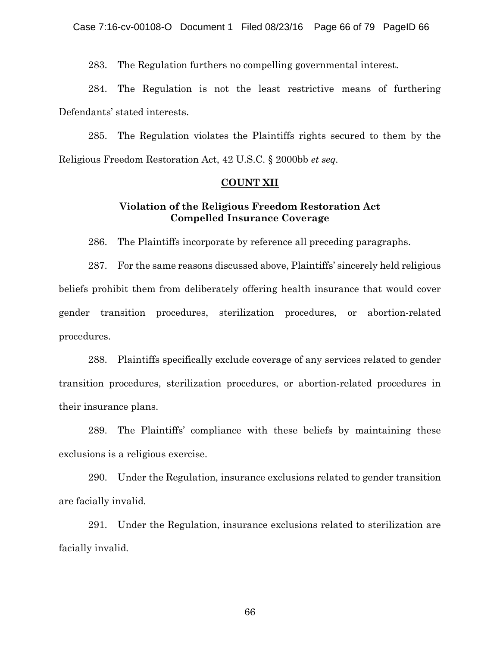283. The Regulation furthers no compelling governmental interest.

284. The Regulation is not the least restrictive means of furthering Defendants' stated interests.

285. The Regulation violates the Plaintiffs rights secured to them by the Religious Freedom Restoration Act, 42 U.S.C. § 2000bb *et seq.*

#### **COUNT XII**

# **Violation of the Religious Freedom Restoration Act Compelled Insurance Coverage**

286. The Plaintiffs incorporate by reference all preceding paragraphs.

287. For the same reasons discussed above, Plaintiffs' sincerely held religious beliefs prohibit them from deliberately offering health insurance that would cover gender transition procedures, sterilization procedures, or abortion-related procedures.

288. Plaintiffs specifically exclude coverage of any services related to gender transition procedures, sterilization procedures, or abortion-related procedures in their insurance plans.

289. The Plaintiffs' compliance with these beliefs by maintaining these exclusions is a religious exercise.

290. Under the Regulation, insurance exclusions related to gender transition are facially invalid*.*

291. Under the Regulation, insurance exclusions related to sterilization are facially invalid*.*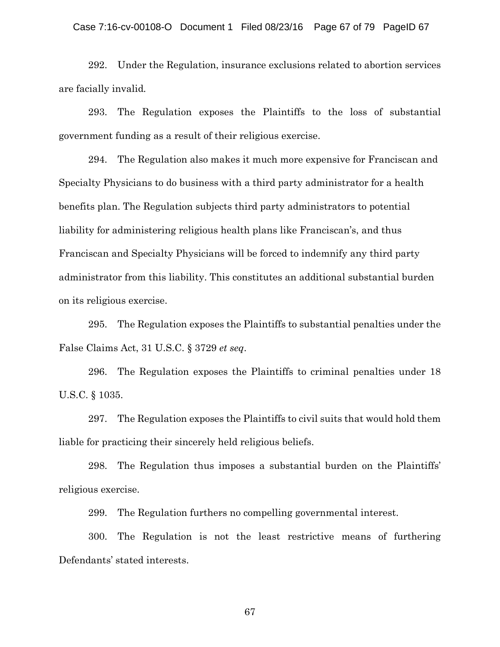### Case 7:16-cv-00108-O Document 1 Filed 08/23/16 Page 67 of 79 PageID 67

292. Under the Regulation, insurance exclusions related to abortion services are facially invalid*.*

293. The Regulation exposes the Plaintiffs to the loss of substantial government funding as a result of their religious exercise.

294. The Regulation also makes it much more expensive for Franciscan and Specialty Physicians to do business with a third party administrator for a health benefits plan. The Regulation subjects third party administrators to potential liability for administering religious health plans like Franciscan's, and thus Franciscan and Specialty Physicians will be forced to indemnify any third party administrator from this liability. This constitutes an additional substantial burden on its religious exercise.

295. The Regulation exposes the Plaintiffs to substantial penalties under the False Claims Act, 31 U.S.C. § 3729 *et seq*.

296. The Regulation exposes the Plaintiffs to criminal penalties under 18 U.S.C. § 1035.

297. The Regulation exposes the Plaintiffs to civil suits that would hold them liable for practicing their sincerely held religious beliefs.

298. The Regulation thus imposes a substantial burden on the Plaintiffs' religious exercise.

299. The Regulation furthers no compelling governmental interest.

300. The Regulation is not the least restrictive means of furthering Defendants' stated interests.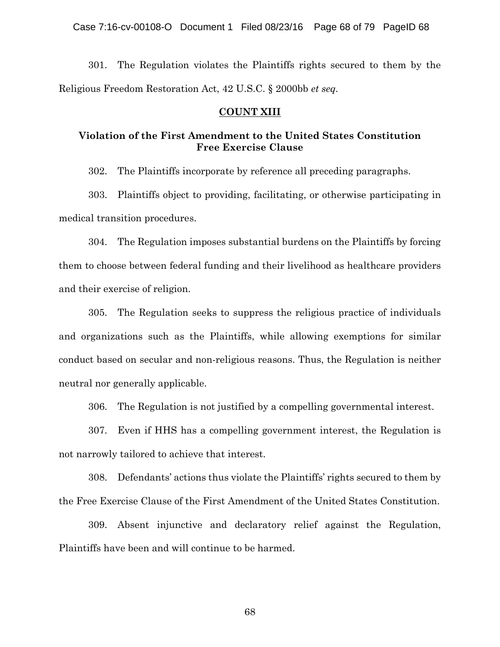301. The Regulation violates the Plaintiffs rights secured to them by the Religious Freedom Restoration Act, 42 U.S.C. § 2000bb *et seq.*

### **COUNT XIII**

# **Violation of the First Amendment to the United States Constitution Free Exercise Clause**

302. The Plaintiffs incorporate by reference all preceding paragraphs.

303. Plaintiffs object to providing, facilitating, or otherwise participating in medical transition procedures.

304. The Regulation imposes substantial burdens on the Plaintiffs by forcing them to choose between federal funding and their livelihood as healthcare providers and their exercise of religion.

305. The Regulation seeks to suppress the religious practice of individuals and organizations such as the Plaintiffs, while allowing exemptions for similar conduct based on secular and non-religious reasons. Thus, the Regulation is neither neutral nor generally applicable.

306. The Regulation is not justified by a compelling governmental interest.

307. Even if HHS has a compelling government interest, the Regulation is not narrowly tailored to achieve that interest.

308. Defendants' actions thus violate the Plaintiffs' rights secured to them by the Free Exercise Clause of the First Amendment of the United States Constitution.

309. Absent injunctive and declaratory relief against the Regulation, Plaintiffs have been and will continue to be harmed.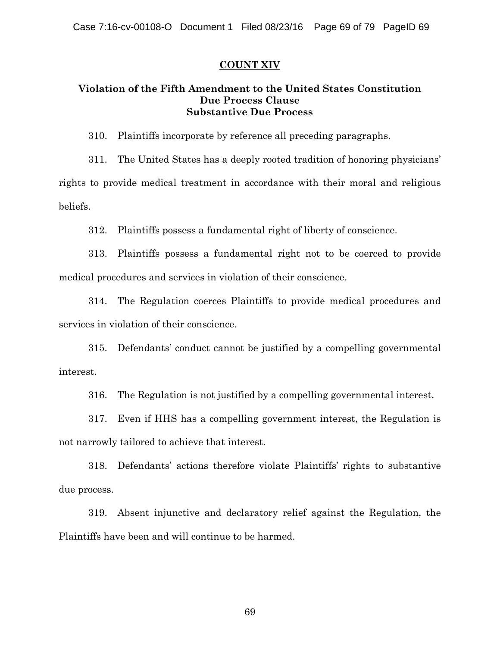### **COUNT XIV**

# **Violation of the Fifth Amendment to the United States Constitution Due Process Clause Substantive Due Process**

310. Plaintiffs incorporate by reference all preceding paragraphs.

311. The United States has a deeply rooted tradition of honoring physicians' rights to provide medical treatment in accordance with their moral and religious beliefs.

312. Plaintiffs possess a fundamental right of liberty of conscience.

313. Plaintiffs possess a fundamental right not to be coerced to provide medical procedures and services in violation of their conscience.

314. The Regulation coerces Plaintiffs to provide medical procedures and services in violation of their conscience.

315. Defendants' conduct cannot be justified by a compelling governmental interest.

316. The Regulation is not justified by a compelling governmental interest.

317. Even if HHS has a compelling government interest, the Regulation is not narrowly tailored to achieve that interest.

318. Defendants' actions therefore violate Plaintiffs' rights to substantive due process.

319. Absent injunctive and declaratory relief against the Regulation, the Plaintiffs have been and will continue to be harmed.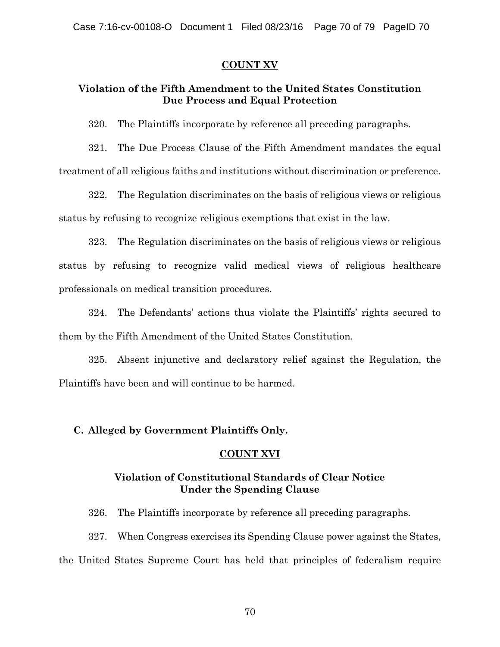## **COUNT XV**

# **Violation of the Fifth Amendment to the United States Constitution Due Process and Equal Protection**

320. The Plaintiffs incorporate by reference all preceding paragraphs.

321. The Due Process Clause of the Fifth Amendment mandates the equal treatment of all religious faiths and institutions without discrimination or preference.

322. The Regulation discriminates on the basis of religious views or religious status by refusing to recognize religious exemptions that exist in the law.

323. The Regulation discriminates on the basis of religious views or religious status by refusing to recognize valid medical views of religious healthcare professionals on medical transition procedures.

324. The Defendants' actions thus violate the Plaintiffs' rights secured to them by the Fifth Amendment of the United States Constitution.

325. Absent injunctive and declaratory relief against the Regulation, the Plaintiffs have been and will continue to be harmed.

## **C. Alleged by Government Plaintiffs Only.**

## **COUNT XVI**

# **Violation of Constitutional Standards of Clear Notice Under the Spending Clause**

326. The Plaintiffs incorporate by reference all preceding paragraphs.

327. When Congress exercises its Spending Clause power against the States, the United States Supreme Court has held that principles of federalism require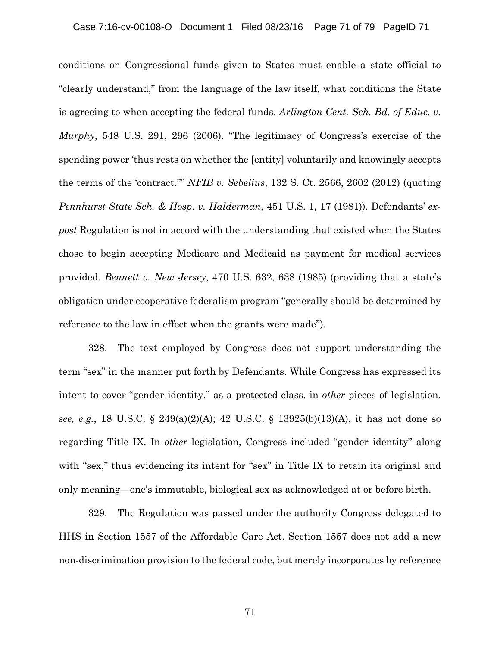conditions on Congressional funds given to States must enable a state official to "clearly understand," from the language of the law itself, what conditions the State is agreeing to when accepting the federal funds. *Arlington Cent. Sch. Bd. of Educ. v. Murphy*, 548 U.S. 291, 296 (2006). "The legitimacy of Congress's exercise of the spending power 'thus rests on whether the [entity] voluntarily and knowingly accepts the terms of the 'contract.''" *NFIB v*. *Sebelius*, 132 S. Ct. 2566, 2602 (2012) (quoting *Pennhurst State Sch. & Hosp. v. Halderman*, 451 U.S. 1, 17 (1981)). Defendants' *expost* Regulation is not in accord with the understanding that existed when the States chose to begin accepting Medicare and Medicaid as payment for medical services provided. *Bennett v. New Jersey*, 470 U.S. 632, 638 (1985) (providing that a state's obligation under cooperative federalism program ''generally should be determined by reference to the law in effect when the grants were made'').

328. The text employed by Congress does not support understanding the term "sex" in the manner put forth by Defendants. While Congress has expressed its intent to cover "gender identity," as a protected class, in *other* pieces of legislation, *see, e.g.*, 18 U.S.C. § 249(a)(2)(A); 42 U.S.C. § 13925(b)(13)(A), it has not done so regarding Title IX. In *other* legislation, Congress included "gender identity" along with "sex," thus evidencing its intent for "sex" in Title IX to retain its original and only meaning—one's immutable, biological sex as acknowledged at or before birth.

329. The Regulation was passed under the authority Congress delegated to HHS in Section 1557 of the Affordable Care Act. Section 1557 does not add a new non-discrimination provision to the federal code, but merely incorporates by reference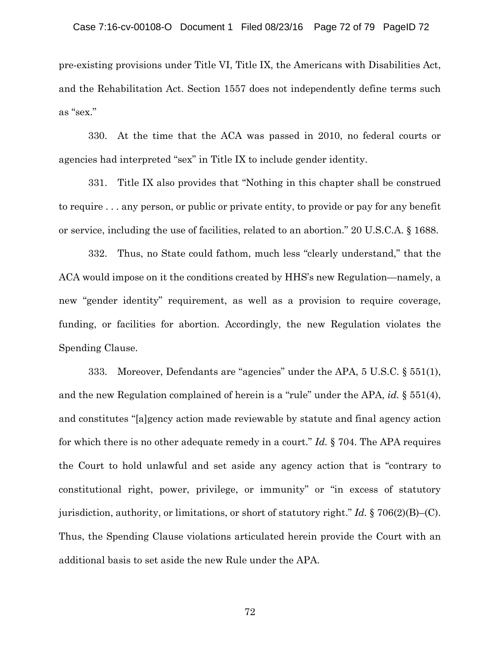pre-existing provisions under Title VI, Title IX, the Americans with Disabilities Act, and the Rehabilitation Act. Section 1557 does not independently define terms such as "sex."

330. At the time that the ACA was passed in 2010, no federal courts or agencies had interpreted "sex" in Title IX to include gender identity.

331. Title IX also provides that "Nothing in this chapter shall be construed to require . . . any person, or public or private entity, to provide or pay for any benefit or service, including the use of facilities, related to an abortion." 20 U.S.C.A. § 1688.

332. Thus, no State could fathom, much less "clearly understand," that the ACA would impose on it the conditions created by HHS's new Regulation—namely, a new "gender identity" requirement, as well as a provision to require coverage, funding, or facilities for abortion. Accordingly, the new Regulation violates the Spending Clause.

333. Moreover, Defendants are "agencies" under the APA, 5 U.S.C. § 551(1), and the new Regulation complained of herein is a "rule" under the APA, *id.* § 551(4), and constitutes "[a]gency action made reviewable by statute and final agency action for which there is no other adequate remedy in a court." *Id.* § 704. The APA requires the Court to hold unlawful and set aside any agency action that is "contrary to constitutional right, power, privilege, or immunity" or "in excess of statutory jurisdiction, authority, or limitations, or short of statutory right." *Id.* § 706(2)(B)–(C). Thus, the Spending Clause violations articulated herein provide the Court with an additional basis to set aside the new Rule under the APA.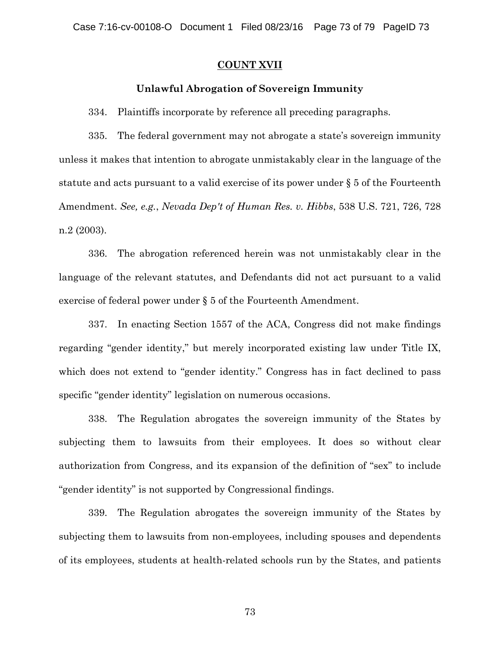#### **COUNT XVII**

#### **Unlawful Abrogation of Sovereign Immunity**

334. Plaintiffs incorporate by reference all preceding paragraphs.

335. The federal government may not abrogate a state's sovereign immunity unless it makes that intention to abrogate unmistakably clear in the language of the statute and acts pursuant to a valid exercise of its power under § 5 of the Fourteenth Amendment. *See, e.g.*, *Nevada Dep't of Human Res. v. Hibbs*, 538 U.S. 721, 726, 728 n.2 (2003).

336. The abrogation referenced herein was not unmistakably clear in the language of the relevant statutes, and Defendants did not act pursuant to a valid exercise of federal power under § 5 of the Fourteenth Amendment.

337. In enacting Section 1557 of the ACA, Congress did not make findings regarding "gender identity," but merely incorporated existing law under Title IX, which does not extend to "gender identity." Congress has in fact declined to pass specific "gender identity" legislation on numerous occasions.

338. The Regulation abrogates the sovereign immunity of the States by subjecting them to lawsuits from their employees. It does so without clear authorization from Congress, and its expansion of the definition of "sex" to include "gender identity" is not supported by Congressional findings.

339. The Regulation abrogates the sovereign immunity of the States by subjecting them to lawsuits from non-employees, including spouses and dependents of its employees, students at health-related schools run by the States, and patients

73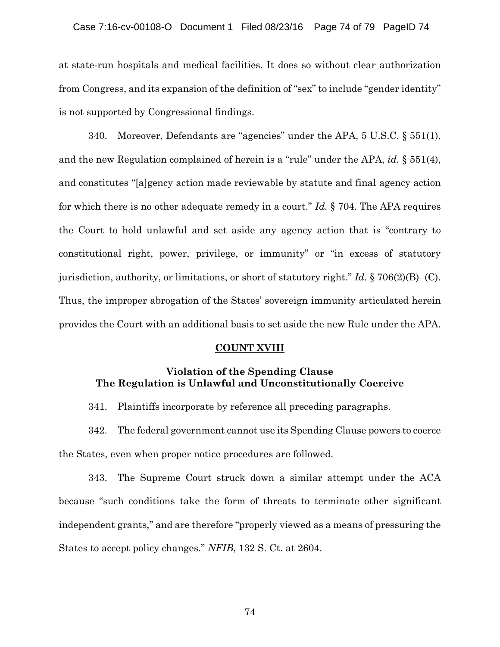#### Case 7:16-cv-00108-O Document 1 Filed 08/23/16 Page 74 of 79 PageID 74

at state-run hospitals and medical facilities. It does so without clear authorization from Congress, and its expansion of the definition of "sex" to include "gender identity" is not supported by Congressional findings.

340. Moreover, Defendants are "agencies" under the APA, 5 U.S.C. § 551(1), and the new Regulation complained of herein is a "rule" under the APA, *id.* § 551(4), and constitutes "[a]gency action made reviewable by statute and final agency action for which there is no other adequate remedy in a court." *Id.* § 704. The APA requires the Court to hold unlawful and set aside any agency action that is "contrary to constitutional right, power, privilege, or immunity" or "in excess of statutory jurisdiction, authority, or limitations, or short of statutory right." *Id.* § 706(2)(B)–(C). Thus, the improper abrogation of the States' sovereign immunity articulated herein provides the Court with an additional basis to set aside the new Rule under the APA.

#### **COUNT XVIII**

## **Violation of the Spending Clause The Regulation is Unlawful and Unconstitutionally Coercive**

341. Plaintiffs incorporate by reference all preceding paragraphs.

342. The federal government cannot use its Spending Clause powers to coerce the States, even when proper notice procedures are followed.

343. The Supreme Court struck down a similar attempt under the ACA because "such conditions take the form of threats to terminate other significant independent grants," and are therefore "properly viewed as a means of pressuring the States to accept policy changes." *NFIB*, 132 S. Ct. at 2604.

74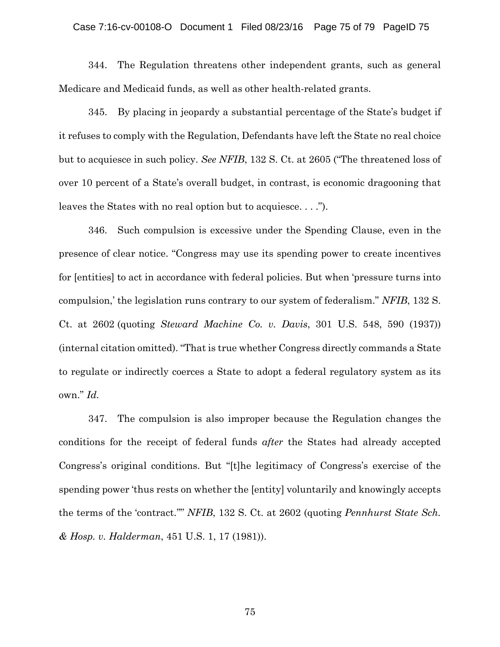#### Case 7:16-cv-00108-O Document 1 Filed 08/23/16 Page 75 of 79 PageID 75

344. The Regulation threatens other independent grants, such as general Medicare and Medicaid funds, as well as other health-related grants.

345. By placing in jeopardy a substantial percentage of the State's budget if it refuses to comply with the Regulation, Defendants have left the State no real choice but to acquiesce in such policy. *See NFIB*, 132 S. Ct. at 2605 ("The threatened loss of over 10 percent of a State's overall budget, in contrast, is economic dragooning that leaves the States with no real option but to acquiesce. . . .").

346. Such compulsion is excessive under the Spending Clause, even in the presence of clear notice. "Congress may use its spending power to create incentives for [entities] to act in accordance with federal policies. But when 'pressure turns into compulsion,' the legislation runs contrary to our system of federalism." *NFIB*, 132 S. Ct. at 2602 (quoting *Steward Machine Co. v. Davis*, 301 U.S. 548, 590 (1937)) (internal citation omitted). "That is true whether Congress directly commands a State to regulate or indirectly coerces a State to adopt a federal regulatory system as its own." *Id.*

347. The compulsion is also improper because the Regulation changes the conditions for the receipt of federal funds *after* the States had already accepted Congress's original conditions. But "[t]he legitimacy of Congress's exercise of the spending power 'thus rests on whether the [entity] voluntarily and knowingly accepts the terms of the 'contract.''" *NFIB*, 132 S. Ct. at 2602 (quoting *Pennhurst State Sch. & Hosp. v. Halderman*, 451 U.S. 1, 17 (1981)).

75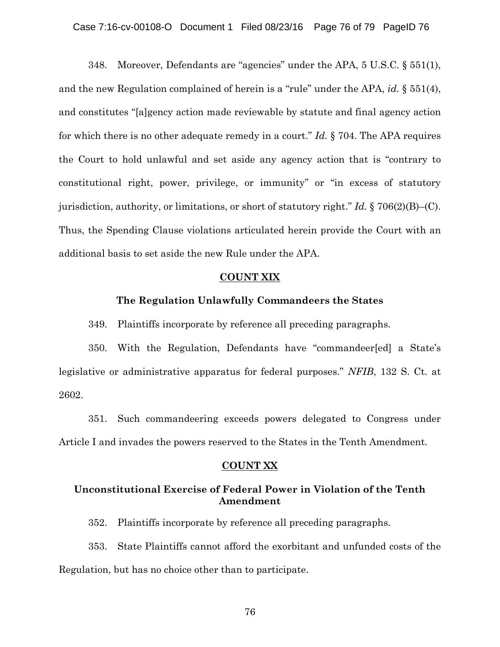348. Moreover, Defendants are "agencies" under the APA, 5 U.S.C. § 551(1), and the new Regulation complained of herein is a "rule" under the APA, *id.* § 551(4), and constitutes "[a]gency action made reviewable by statute and final agency action for which there is no other adequate remedy in a court." *Id.* § 704. The APA requires the Court to hold unlawful and set aside any agency action that is "contrary to constitutional right, power, privilege, or immunity" or "in excess of statutory jurisdiction, authority, or limitations, or short of statutory right." *Id.* § 706(2)(B)–(C). Thus, the Spending Clause violations articulated herein provide the Court with an additional basis to set aside the new Rule under the APA.

#### **COUNT XIX**

#### **The Regulation Unlawfully Commandeers the States**

349. Plaintiffs incorporate by reference all preceding paragraphs.

350. With the Regulation, Defendants have "commandeer[ed] a State's legislative or administrative apparatus for federal purposes." *NFIB*, 132 S. Ct. at 2602.

351. Such commandeering exceeds powers delegated to Congress under Article I and invades the powers reserved to the States in the Tenth Amendment.

#### **COUNT XX**

## **Unconstitutional Exercise of Federal Power in Violation of the Tenth Amendment**

352. Plaintiffs incorporate by reference all preceding paragraphs.

353. State Plaintiffs cannot afford the exorbitant and unfunded costs of the Regulation, but has no choice other than to participate.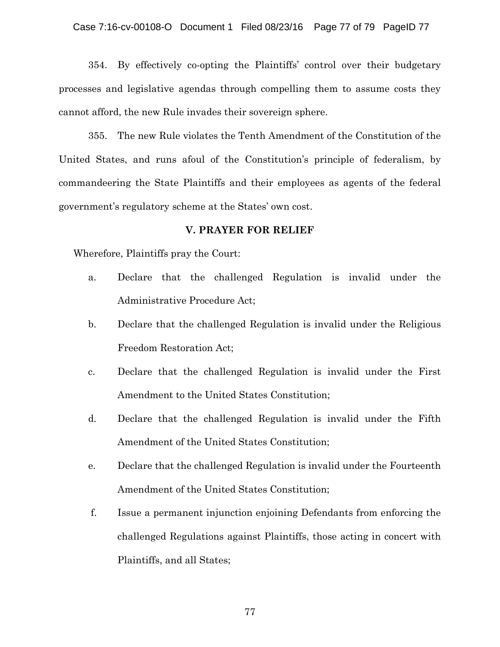354. By effectively co-opting the Plaintiffs' control over their budgetary processes and legislative agendas through compelling them to assume costs they cannot afford, the new Rule invades their sovereign sphere.

355. The new Rule violates the Tenth Amendment of the Constitution of the United States, and runs afoul of the Constitution's principle of federalism, by commandeering the State Plaintiffs and their employees as agents of the federal government's regulatory scheme at the States' own cost.

### **V. PRAYER FOR RELIEF**

Wherefore, Plaintiffs pray the Court:

- a. Declare that the challenged Regulation is invalid under the Administrative Procedure Act;
- b. Declare that the challenged Regulation is invalid under the Religious Freedom Restoration Act;
- c. Declare that the challenged Regulation is invalid under the First Amendment to the United States Constitution;
- d. Declare that the challenged Regulation is invalid under the Fifth Amendment of the United States Constitution;
- e. Declare that the challenged Regulation is invalid under the Fourteenth Amendment of the United States Constitution;
- f. Issue a permanent injunction enjoining Defendants from enforcing the challenged Regulations against Plaintiffs, those acting in concert with Plaintiffs, and all States;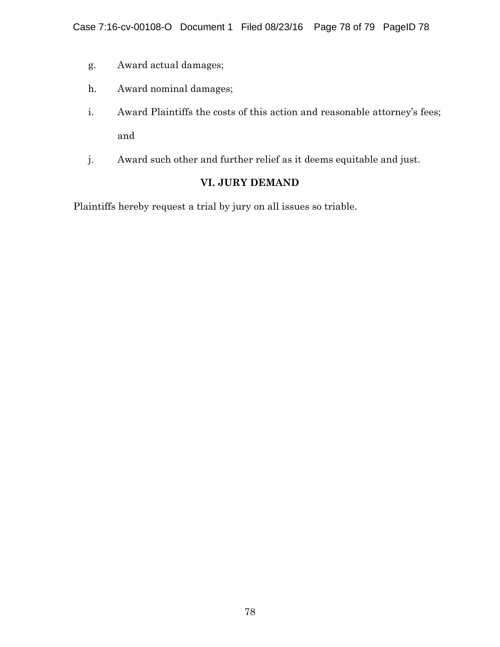- g. Award actual damages;
- h. Award nominal damages;
- i. Award Plaintiffs the costs of this action and reasonable attorney's fees; and
- j. Award such other and further relief as it deems equitable and just.

# **VI. JURY DEMAND**

Plaintiffs hereby request a trial by jury on all issues so triable.